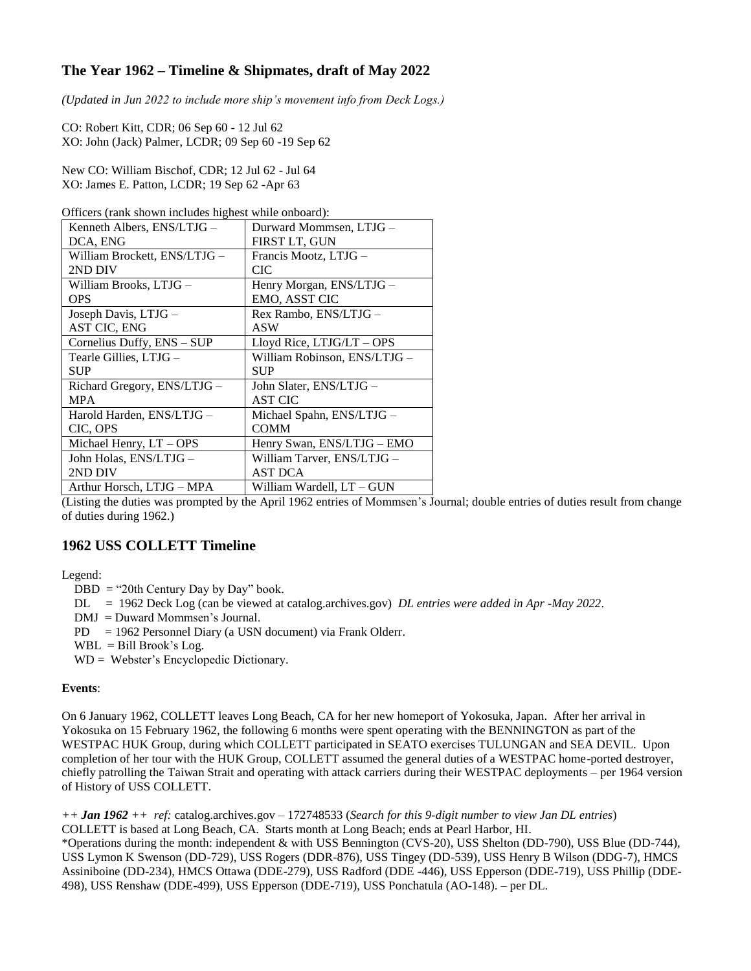# **The Year 1962 – Timeline & Shipmates, draft of May 2022**

*(Updated in Jun 2022 to include more ship's movement info from Deck Logs.)*

CO: Robert Kitt, CDR; 06 Sep 60 - 12 Jul 62 XO: John (Jack) Palmer, LCDR; 09 Sep 60 -19 Sep 62

New CO: William Bischof, CDR; 12 Jul 62 - Jul 64 XO: James E. Patton, LCDR; 19 Sep 62 -Apr 63

Officers (rank shown includes highest while onboard):

| Kenneth Albers, ENS/LTJG -   | Durward Mommsen, LTJG -      |
|------------------------------|------------------------------|
| DCA, ENG                     | FIRST LT, GUN                |
| William Brockett, ENS/LTJG - | Francis Mootz, LTJG -        |
| 2ND DIV                      | <b>CIC</b>                   |
| William Brooks, LTJG –       | Henry Morgan, ENS/LTJG -     |
| <b>OPS</b>                   | EMO, ASST CIC                |
| Joseph Davis, LTJG -         | Rex Rambo, ENS/LTJG -        |
| <b>AST CIC, ENG</b>          | <b>ASW</b>                   |
| Cornelius Duffy, ENS - SUP   | Lloyd Rice, LTJG/LT - OPS    |
| Tearle Gillies, LTJG -       | William Robinson, ENS/LTJG - |
| <b>SUP</b>                   | <b>SUP</b>                   |
| Richard Gregory, ENS/LTJG -  | John Slater, ENS/LTJG -      |
| <b>MPA</b>                   | <b>AST CIC</b>               |
| Harold Harden, ENS/LTJG -    | Michael Spahn, ENS/LTJG -    |
| CIC, OPS                     | <b>COMM</b>                  |
| Michael Henry, LT - OPS      | Henry Swan, ENS/LTJG - EMO   |
| John Holas, ENS/LTJG -       | William Tarver, ENS/LTJG -   |
| 2ND DIV                      | <b>AST DCA</b>               |
| Arthur Horsch, LTJG - MPA    | William Wardell, LT – GUN    |

(Listing the duties was prompted by the April 1962 entries of Mommsen's Journal; double entries of duties result from change of duties during 1962.)

## **1962 USS COLLETT Timeline**

### Legend:

- $DBD = "20th Century Day by Day" book.$
- DL = 1962 Deck Log (can be viewed at catalog.archives.gov) *DL entries were added in Apr -May 2022*.
- DMJ = Duward Mommsen's Journal.
- PD = 1962 Personnel Diary (a USN document) via Frank Olderr.
- $WBL =$  Bill Brook's Log.
- WD = Webster's Encyclopedic Dictionary.

### **Events**:

On 6 January 1962, COLLETT leaves Long Beach, CA for her new homeport of Yokosuka, Japan. After her arrival in Yokosuka on 15 February 1962, the following 6 months were spent operating with the BENNINGTON as part of the WESTPAC HUK Group, during which COLLETT participated in SEATO exercises TULUNGAN and SEA DEVIL. Upon completion of her tour with the HUK Group, COLLETT assumed the general duties of a WESTPAC home-ported destroyer, chiefly patrolling the Taiwan Strait and operating with attack carriers during their WESTPAC deployments – per 1964 version of History of USS COLLETT.

*++ Jan 1962 ++ ref:* catalog.archives.gov – 172748533 (*Search for this 9-digit number to view Jan DL entries*) COLLETT is based at Long Beach, CA. Starts month at Long Beach; ends at Pearl Harbor, HI. \*Operations during the month: independent & with USS Bennington (CVS-20), USS Shelton (DD-790), USS Blue (DD-744), USS Lymon K Swenson (DD-729), USS Rogers (DDR-876), USS Tingey (DD-539), USS Henry B Wilson (DDG-7), HMCS Assiniboine (DD-234), HMCS Ottawa (DDE-279), USS Radford (DDE -446), USS Epperson (DDE-719), USS Phillip (DDE-498), USS Renshaw (DDE-499), USS Epperson (DDE-719), USS Ponchatula (AO-148). – per DL.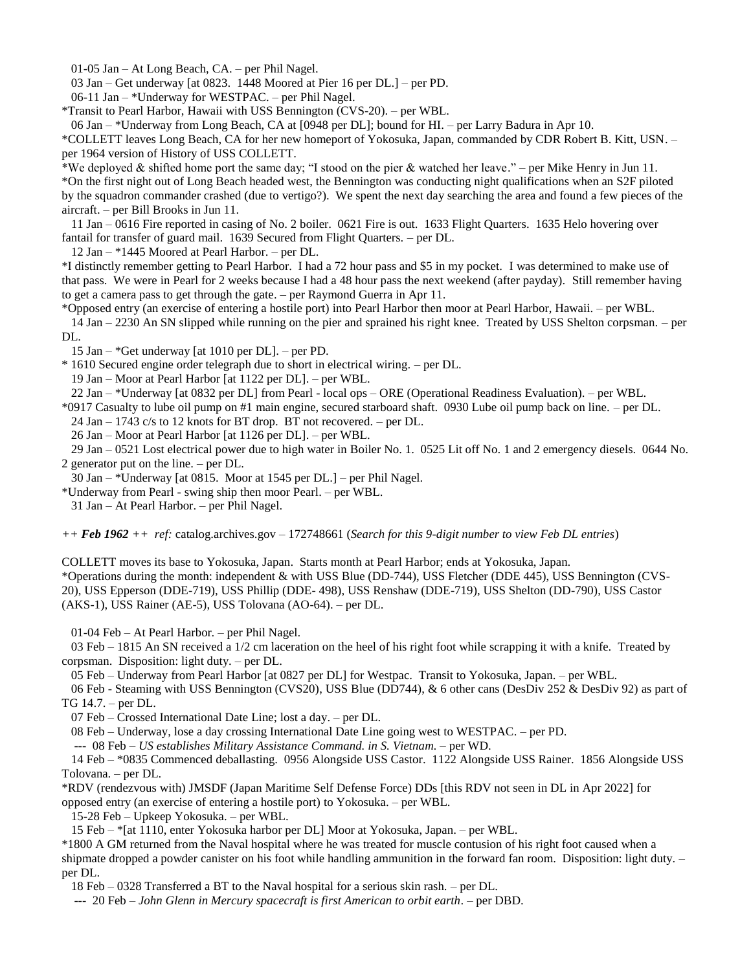01-05 Jan – At Long Beach, CA. – per Phil Nagel.

03 Jan – Get underway [at 0823. 1448 Moored at Pier 16 per DL.] – per PD.

06-11 Jan – \*Underway for WESTPAC. – per Phil Nagel.

\*Transit to Pearl Harbor, Hawaii with USS Bennington (CVS-20). – per WBL.

06 Jan – \*Underway from Long Beach, CA at [0948 per DL]; bound for HI. – per Larry Badura in Apr 10.

\*COLLETT leaves Long Beach, CA for her new homeport of Yokosuka, Japan, commanded by CDR Robert B. Kitt, USN. – per 1964 version of History of USS COLLETT.

\*We deployed & shifted home port the same day; "I stood on the pier & watched her leave." – per Mike Henry in Jun 11. \*On the first night out of Long Beach headed west, the Bennington was conducting night qualifications when an S2F piloted by the squadron commander crashed (due to vertigo?). We spent the next day searching the area and found a few pieces of the aircraft. – per Bill Brooks in Jun 11.

 11 Jan – 0616 Fire reported in casing of No. 2 boiler. 0621 Fire is out. 1633 Flight Quarters. 1635 Helo hovering over fantail for transfer of guard mail. 1639 Secured from Flight Quarters. – per DL.

12 Jan – \*1445 Moored at Pearl Harbor. – per DL.

\*I distinctly remember getting to Pearl Harbor. I had a 72 hour pass and \$5 in my pocket. I was determined to make use of that pass. We were in Pearl for 2 weeks because I had a 48 hour pass the next weekend (after payday). Still remember having to get a camera pass to get through the gate. – per Raymond Guerra in Apr 11.

\*Opposed entry (an exercise of entering a hostile port) into Pearl Harbor then moor at Pearl Harbor, Hawaii. – per WBL.

 14 Jan – 2230 An SN slipped while running on the pier and sprained his right knee. Treated by USS Shelton corpsman. – per DL.

15 Jan – \*Get underway [at 1010 per DL]. – per PD.

\* 1610 Secured engine order telegraph due to short in electrical wiring. – per DL.

19 Jan – Moor at Pearl Harbor [at 1122 per DL]. – per WBL.

22 Jan – \*Underway [at 0832 per DL] from Pearl - local ops – ORE (Operational Readiness Evaluation). – per WBL.

\*0917 Casualty to lube oil pump on #1 main engine, secured starboard shaft. 0930 Lube oil pump back on line. – per DL.

24 Jan – 1743 c/s to 12 knots for BT drop. BT not recovered. – per DL.

26 Jan – Moor at Pearl Harbor [at 1126 per DL]. – per WBL.

 29 Jan – 0521 Lost electrical power due to high water in Boiler No. 1. 0525 Lit off No. 1 and 2 emergency diesels. 0644 No. 2 generator put on the line. – per DL.

30 Jan – \*Underway [at 0815. Moor at 1545 per DL.] – per Phil Nagel.

\*Underway from Pearl - swing ship then moor Pearl. – per WBL.

31 Jan – At Pearl Harbor. – per Phil Nagel.

*++ Feb 1962 ++ ref:* catalog.archives.gov – 172748661 (*Search for this 9-digit number to view Feb DL entries*)

COLLETT moves its base to Yokosuka, Japan. Starts month at Pearl Harbor; ends at Yokosuka, Japan. \*Operations during the month: independent & with USS Blue (DD-744), USS Fletcher (DDE 445), USS Bennington (CVS-20), USS Epperson (DDE-719), USS Phillip (DDE- 498), USS Renshaw (DDE-719), USS Shelton (DD-790), USS Castor

(AKS-1), USS Rainer (AE-5), USS Tolovana (AO-64). – per DL.

01-04 Feb – At Pearl Harbor. – per Phil Nagel.

 03 Feb – 1815 An SN received a 1/2 cm laceration on the heel of his right foot while scrapping it with a knife. Treated by corpsman. Disposition: light duty. – per DL.

05 Feb – Underway from Pearl Harbor [at 0827 per DL] for Westpac. Transit to Yokosuka, Japan. – per WBL.

 06 Feb - Steaming with USS Bennington (CVS20), USS Blue (DD744), & 6 other cans (DesDiv 252 & DesDiv 92) as part of TG 14.7. – per DL.

07 Feb – Crossed International Date Line; lost a day. – per DL.

08 Feb – Underway, lose a day crossing International Date Line going west to WESTPAC. – per PD.

--- 08 Feb – *US establishes Military Assistance Command. in S. Vietnam.* – per WD.

 14 Feb – \*0835 Commenced deballasting. 0956 Alongside USS Castor. 1122 Alongside USS Rainer. 1856 Alongside USS Tolovana. – per DL.

\*RDV (rendezvous with) JMSDF (Japan Maritime Self Defense Force) DDs [this RDV not seen in DL in Apr 2022] for

opposed entry (an exercise of entering a hostile port) to Yokosuka. – per WBL.

15-28 Feb – Upkeep Yokosuka. – per WBL.

15 Feb – \*[at 1110, enter Yokosuka harbor per DL] Moor at Yokosuka, Japan. – per WBL.

\*1800 A GM returned from the Naval hospital where he was treated for muscle contusion of his right foot caused when a shipmate dropped a powder canister on his foot while handling ammunition in the forward fan room. Disposition: light duty. – per DL.

18 Feb – 0328 Transferred a BT to the Naval hospital for a serious skin rash. – per DL.

--- 20 Feb – *John Glenn in Mercury spacecraft is first American to orbit earth*. – per DBD.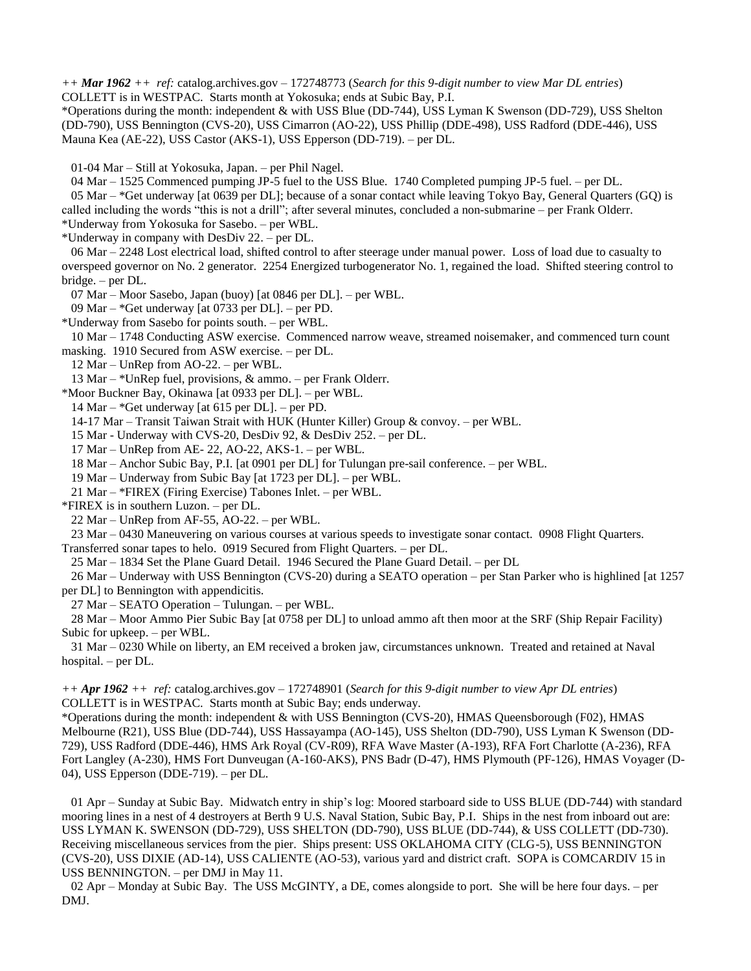*++ Mar 1962 ++ ref:* catalog.archives.gov – 172748773 (*Search for this 9-digit number to view Mar DL entries*) COLLETT is in WESTPAC. Starts month at Yokosuka; ends at Subic Bay, P.I.

\*Operations during the month: independent & with USS Blue (DD-744), USS Lyman K Swenson (DD-729), USS Shelton (DD-790), USS Bennington (CVS-20), USS Cimarron (AO-22), USS Phillip (DDE-498), USS Radford (DDE-446), USS Mauna Kea (AE-22), USS Castor (AKS-1), USS Epperson (DD-719). – per DL.

01-04 Mar – Still at Yokosuka, Japan. – per Phil Nagel.

04 Mar – 1525 Commenced pumping JP-5 fuel to the USS Blue. 1740 Completed pumping JP-5 fuel. – per DL.

 05 Mar – \*Get underway [at 0639 per DL]; because of a sonar contact while leaving Tokyo Bay, General Quarters (GQ) is called including the words "this is not a drill"; after several minutes, concluded a non-submarine – per Frank Olderr. \*Underway from Yokosuka for Sasebo. – per WBL.

\*Underway in company with DesDiv 22. – per DL.

 06 Mar – 2248 Lost electrical load, shifted control to after steerage under manual power. Loss of load due to casualty to overspeed governor on No. 2 generator. 2254 Energized turbogenerator No. 1, regained the load. Shifted steering control to bridge. – per DL.

07 Mar – Moor Sasebo, Japan (buoy) [at 0846 per DL]. – per WBL.

09 Mar – \*Get underway [at 0733 per DL]. – per PD.

\*Underway from Sasebo for points south. – per WBL.

10 Mar – 1748 Conducting ASW exercise. Commenced narrow weave, streamed noisemaker, and commenced turn count

masking. 1910 Secured from ASW exercise. – per DL.

12 Mar – UnRep from AO-22. – per WBL.

13 Mar – \*UnRep fuel, provisions, & ammo. – per Frank Olderr.

\*Moor Buckner Bay, Okinawa [at 0933 per DL]. – per WBL.

14 Mar – \*Get underway [at 615 per DL]. – per PD.

14-17 Mar – Transit Taiwan Strait with HUK (Hunter Killer) Group & convoy. – per WBL.

15 Mar - Underway with CVS-20, DesDiv 92, & DesDiv 252. – per DL.

17 Mar – UnRep from AE- 22, AO-22, AKS-1. – per WBL.

18 Mar – Anchor Subic Bay, P.I. [at 0901 per DL] for Tulungan pre-sail conference. – per WBL.

19 Mar – Underway from Subic Bay [at 1723 per DL]. – per WBL.

21 Mar – \*FIREX (Firing Exercise) Tabones Inlet. – per WBL.

\*FIREX is in southern Luzon. – per DL.

22 Mar – UnRep from AF-55, AO-22. – per WBL.

23 Mar – 0430 Maneuvering on various courses at various speeds to investigate sonar contact. 0908 Flight Quarters.

Transferred sonar tapes to helo. 0919 Secured from Flight Quarters. – per DL.

25 Mar – 1834 Set the Plane Guard Detail. 1946 Secured the Plane Guard Detail. – per DL

 26 Mar – Underway with USS Bennington (CVS-20) during a SEATO operation – per Stan Parker who is highlined [at 1257 per DL] to Bennington with appendicitis.

27 Mar – SEATO Operation – Tulungan. – per WBL.

 28 Mar – Moor Ammo Pier Subic Bay [at 0758 per DL] to unload ammo aft then moor at the SRF (Ship Repair Facility) Subic for upkeep. – per WBL.

 31 Mar – 0230 While on liberty, an EM received a broken jaw, circumstances unknown. Treated and retained at Naval hospital. – per DL.

*++ Apr 1962 ++ ref:* catalog.archives.gov – 172748901 (*Search for this 9-digit number to view Apr DL entries*) COLLETT is in WESTPAC. Starts month at Subic Bay; ends underway.

\*Operations during the month: independent & with USS Bennington (CVS-20), HMAS Queensborough (F02), HMAS Melbourne (R21), USS Blue (DD-744), USS Hassayampa (AO-145), USS Shelton (DD-790), USS Lyman K Swenson (DD-729), USS Radford (DDE-446), HMS Ark Royal (CV-R09), RFA Wave Master (A-193), RFA Fort Charlotte (A-236), RFA Fort Langley (A-230), HMS Fort Dunveugan (A-160-AKS), PNS Badr (D-47), HMS Plymouth (PF-126), HMAS Voyager (D-04), USS Epperson (DDE-719). – per DL.

 01 Apr – Sunday at Subic Bay. Midwatch entry in ship's log: Moored starboard side to USS BLUE (DD-744) with standard mooring lines in a nest of 4 destroyers at Berth 9 U.S. Naval Station, Subic Bay, P.I. Ships in the nest from inboard out are: USS LYMAN K. SWENSON (DD-729), USS SHELTON (DD-790), USS BLUE (DD-744), & USS COLLETT (DD-730). Receiving miscellaneous services from the pier. Ships present: USS OKLAHOMA CITY (CLG-5), USS BENNINGTON (CVS-20), USS DIXIE (AD-14), USS CALIENTE (AO-53), various yard and district craft. SOPA is COMCARDIV 15 in USS BENNINGTON. – per DMJ in May 11.

 02 Apr – Monday at Subic Bay. The USS McGINTY, a DE, comes alongside to port. She will be here four days. – per DMJ.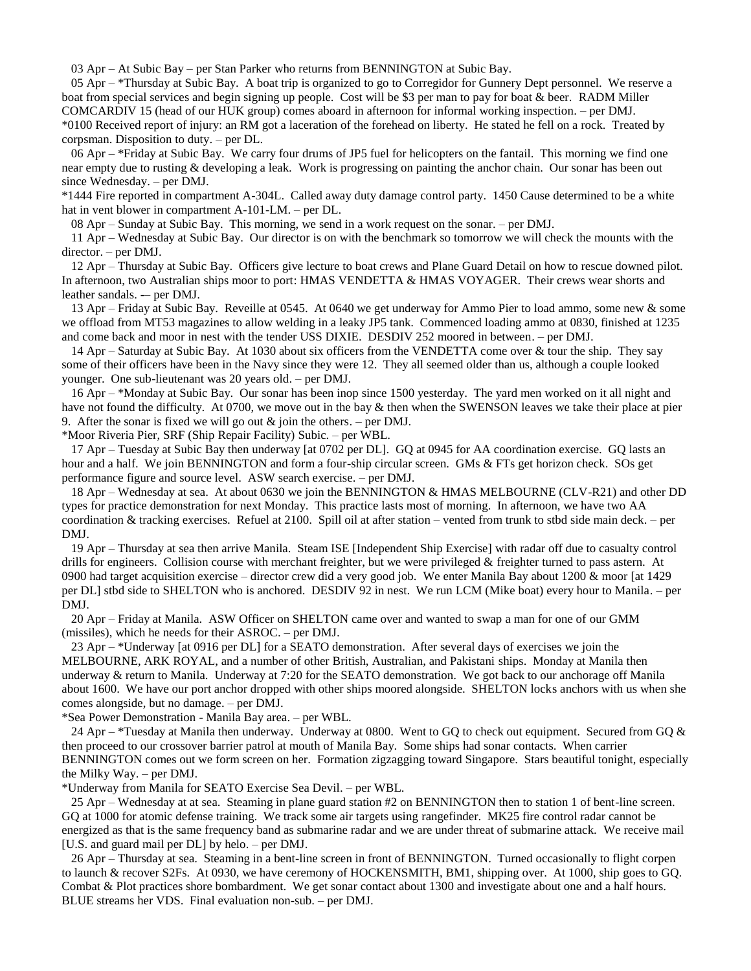03 Apr – At Subic Bay – per Stan Parker who returns from BENNINGTON at Subic Bay.

 05 Apr – \*Thursday at Subic Bay. A boat trip is organized to go to Corregidor for Gunnery Dept personnel. We reserve a boat from special services and begin signing up people. Cost will be \$3 per man to pay for boat & beer. RADM Miller COMCARDIV 15 (head of our HUK group) comes aboard in afternoon for informal working inspection. – per DMJ. \*0100 Received report of injury: an RM got a laceration of the forehead on liberty. He stated he fell on a rock. Treated by corpsman. Disposition to duty. – per DL.

 06 Apr – \*Friday at Subic Bay. We carry four drums of JP5 fuel for helicopters on the fantail. This morning we find one near empty due to rusting & developing a leak. Work is progressing on painting the anchor chain. Our sonar has been out since Wednesday. – per DMJ.

\*1444 Fire reported in compartment A-304L. Called away duty damage control party. 1450 Cause determined to be a white hat in vent blower in compartment A-101-LM. – per DL.

08 Apr – Sunday at Subic Bay. This morning, we send in a work request on the sonar. – per DMJ.

 11 Apr – Wednesday at Subic Bay. Our director is on with the benchmark so tomorrow we will check the mounts with the director. – per DMJ.

 12 Apr – Thursday at Subic Bay. Officers give lecture to boat crews and Plane Guard Detail on how to rescue downed pilot. In afternoon, two Australian ships moor to port: HMAS VENDETTA & HMAS VOYAGER. Their crews wear shorts and leather sandals. - per DMJ.

 13 Apr – Friday at Subic Bay. Reveille at 0545. At 0640 we get underway for Ammo Pier to load ammo, some new & some we offload from MT53 magazines to allow welding in a leaky JP5 tank. Commenced loading ammo at 0830, finished at 1235 and come back and moor in nest with the tender USS DIXIE. DESDIV 252 moored in between. – per DMJ.

 14 Apr – Saturday at Subic Bay. At 1030 about six officers from the VENDETTA come over & tour the ship. They say some of their officers have been in the Navy since they were 12. They all seemed older than us, although a couple looked younger. One sub-lieutenant was 20 years old. – per DMJ.

 16 Apr – \*Monday at Subic Bay. Our sonar has been inop since 1500 yesterday. The yard men worked on it all night and have not found the difficulty. At 0700, we move out in the bay & then when the SWENSON leaves we take their place at pier 9. After the sonar is fixed we will go out  $\&$  join the others. – per DMJ.

\*Moor Riveria Pier, SRF (Ship Repair Facility) Subic. – per WBL.

 17 Apr – Tuesday at Subic Bay then underway [at 0702 per DL]. GQ at 0945 for AA coordination exercise. GQ lasts an hour and a half. We join BENNINGTON and form a four-ship circular screen. GMs & FTs get horizon check. SOs get performance figure and source level. ASW search exercise. – per DMJ.

 18 Apr – Wednesday at sea. At about 0630 we join the BENNINGTON & HMAS MELBOURNE (CLV-R21) and other DD types for practice demonstration for next Monday. This practice lasts most of morning. In afternoon, we have two AA coordination & tracking exercises. Refuel at 2100. Spill oil at after station – vented from trunk to stbd side main deck. – per DMJ.

 19 Apr – Thursday at sea then arrive Manila. Steam ISE [Independent Ship Exercise] with radar off due to casualty control drills for engineers. Collision course with merchant freighter, but we were privileged & freighter turned to pass astern. At 0900 had target acquisition exercise – director crew did a very good job. We enter Manila Bay about 1200  $\&$  moor [at 1429 per DL] stbd side to SHELTON who is anchored. DESDIV 92 in nest. We run LCM (Mike boat) every hour to Manila. – per DMJ.

 20 Apr – Friday at Manila. ASW Officer on SHELTON came over and wanted to swap a man for one of our GMM (missiles), which he needs for their ASROC. – per DMJ.

 23 Apr – \*Underway [at 0916 per DL] for a SEATO demonstration. After several days of exercises we join the MELBOURNE, ARK ROYAL, and a number of other British, Australian, and Pakistani ships. Monday at Manila then underway & return to Manila. Underway at 7:20 for the SEATO demonstration. We got back to our anchorage off Manila about 1600. We have our port anchor dropped with other ships moored alongside. SHELTON locks anchors with us when she comes alongside, but no damage. – per DMJ.

\*Sea Power Demonstration - Manila Bay area. – per WBL.

24 Apr – \*Tuesday at Manila then underway. Underway at 0800. Went to GQ to check out equipment. Secured from GQ  $\&$ then proceed to our crossover barrier patrol at mouth of Manila Bay. Some ships had sonar contacts. When carrier BENNINGTON comes out we form screen on her. Formation zigzagging toward Singapore. Stars beautiful tonight, especially the Milky Way. – per DMJ.

\*Underway from Manila for SEATO Exercise Sea Devil. – per WBL.

 25 Apr – Wednesday at at sea. Steaming in plane guard station #2 on BENNINGTON then to station 1 of bent-line screen. GQ at 1000 for atomic defense training. We track some air targets using rangefinder. MK25 fire control radar cannot be energized as that is the same frequency band as submarine radar and we are under threat of submarine attack. We receive mail [U.S. and guard mail per DL] by helo. – per DMJ.

 26 Apr – Thursday at sea. Steaming in a bent-line screen in front of BENNINGTON. Turned occasionally to flight corpen to launch & recover S2Fs. At 0930, we have ceremony of HOCKENSMITH, BM1, shipping over. At 1000, ship goes to GQ. Combat & Plot practices shore bombardment. We get sonar contact about 1300 and investigate about one and a half hours. BLUE streams her VDS. Final evaluation non-sub. – per DMJ.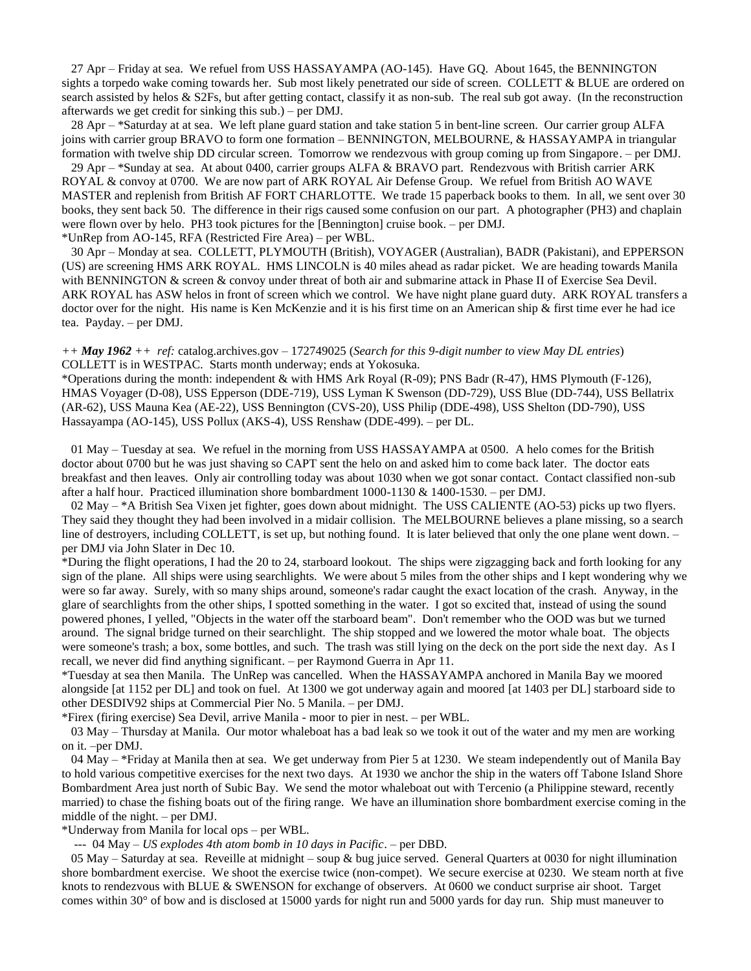27 Apr – Friday at sea. We refuel from USS HASSAYAMPA (AO-145). Have GQ. About 1645, the BENNINGTON sights a torpedo wake coming towards her. Sub most likely penetrated our side of screen. COLLETT & BLUE are ordered on search assisted by helos & S2Fs, but after getting contact, classify it as non-sub. The real sub got away. (In the reconstruction afterwards we get credit for sinking this sub.) – per DMJ.

 28 Apr – \*Saturday at at sea. We left plane guard station and take station 5 in bent-line screen. Our carrier group ALFA joins with carrier group BRAVO to form one formation – BENNINGTON, MELBOURNE, & HASSAYAMPA in triangular formation with twelve ship DD circular screen. Tomorrow we rendezvous with group coming up from Singapore. – per DMJ.

 29 Apr – \*Sunday at sea. At about 0400, carrier groups ALFA & BRAVO part. Rendezvous with British carrier ARK ROYAL & convoy at 0700. We are now part of ARK ROYAL Air Defense Group. We refuel from British AO WAVE MASTER and replenish from British AF FORT CHARLOTTE. We trade 15 paperback books to them. In all, we sent over 30 books, they sent back 50. The difference in their rigs caused some confusion on our part. A photographer (PH3) and chaplain were flown over by helo. PH3 took pictures for the [Bennington] cruise book. – per DMJ. \*UnRep from AO-145, RFA (Restricted Fire Area) – per WBL.

 30 Apr – Monday at sea. COLLETT, PLYMOUTH (British), VOYAGER (Australian), BADR (Pakistani), and EPPERSON (US) are screening HMS ARK ROYAL. HMS LINCOLN is 40 miles ahead as radar picket. We are heading towards Manila with BENNINGTON & screen & convoy under threat of both air and submarine attack in Phase II of Exercise Sea Devil. ARK ROYAL has ASW helos in front of screen which we control. We have night plane guard duty. ARK ROYAL transfers a doctor over for the night. His name is Ken McKenzie and it is his first time on an American ship & first time ever he had ice tea. Payday. – per DMJ.

*++ May 1962 ++ ref:* catalog.archives.gov – 172749025 (*Search for this 9-digit number to view May DL entries*) COLLETT is in WESTPAC. Starts month underway; ends at Yokosuka.

\*Operations during the month: independent & with HMS Ark Royal (R-09); PNS Badr (R-47), HMS Plymouth (F-126), HMAS Voyager (D-08), USS Epperson (DDE-719), USS Lyman K Swenson (DD-729), USS Blue (DD-744), USS Bellatrix (AR-62), USS Mauna Kea (AE-22), USS Bennington (CVS-20), USS Philip (DDE-498), USS Shelton (DD-790), USS Hassayampa (AO-145), USS Pollux (AKS-4), USS Renshaw (DDE-499). – per DL.

 01 May – Tuesday at sea. We refuel in the morning from USS HASSAYAMPA at 0500. A helo comes for the British doctor about 0700 but he was just shaving so CAPT sent the helo on and asked him to come back later. The doctor eats breakfast and then leaves. Only air controlling today was about 1030 when we got sonar contact. Contact classified non-sub after a half hour. Practiced illumination shore bombardment  $1000-1130 \& 1400-1530$ . – per DMJ.

 02 May – \*A British Sea Vixen jet fighter, goes down about midnight. The USS CALIENTE (AO-53) picks up two flyers. They said they thought they had been involved in a midair collision. The MELBOURNE believes a plane missing, so a search line of destroyers, including COLLETT, is set up, but nothing found. It is later believed that only the one plane went down. – per DMJ via John Slater in Dec 10.

\*During the flight operations, I had the 20 to 24, starboard lookout. The ships were zigzagging back and forth looking for any sign of the plane. All ships were using searchlights. We were about 5 miles from the other ships and I kept wondering why we were so far away. Surely, with so many ships around, someone's radar caught the exact location of the crash. Anyway, in the glare of searchlights from the other ships, I spotted something in the water. I got so excited that, instead of using the sound powered phones, I yelled, "Objects in the water off the starboard beam". Don't remember who the OOD was but we turned around. The signal bridge turned on their searchlight. The ship stopped and we lowered the motor whale boat. The objects were someone's trash; a box, some bottles, and such. The trash was still lying on the deck on the port side the next day. As I recall, we never did find anything significant. – per Raymond Guerra in Apr 11.

\*Tuesday at sea then Manila. The UnRep was cancelled. When the HASSAYAMPA anchored in Manila Bay we moored alongside [at 1152 per DL] and took on fuel. At 1300 we got underway again and moored [at 1403 per DL] starboard side to other DESDIV92 ships at Commercial Pier No. 5 Manila. – per DMJ.

\*Firex (firing exercise) Sea Devil, arrive Manila - moor to pier in nest. – per WBL.

 03 May – Thursday at Manila. Our motor whaleboat has a bad leak so we took it out of the water and my men are working on it. –per DMJ.

 04 May – \*Friday at Manila then at sea. We get underway from Pier 5 at 1230. We steam independently out of Manila Bay to hold various competitive exercises for the next two days. At 1930 we anchor the ship in the waters off Tabone Island Shore Bombardment Area just north of Subic Bay. We send the motor whaleboat out with Tercenio (a Philippine steward, recently married) to chase the fishing boats out of the firing range. We have an illumination shore bombardment exercise coming in the middle of the night. – per DMJ.

\*Underway from Manila for local ops – per WBL.

--- 04 May – *US explodes 4th atom bomb in 10 days in Pacific*. – per DBD.

05 May – Saturday at sea. Reveille at midnight – soup  $\&$  bug juice served. General Quarters at 0030 for night illumination shore bombardment exercise. We shoot the exercise twice (non-compet). We secure exercise at 0230. We steam north at five knots to rendezvous with BLUE & SWENSON for exchange of observers. At 0600 we conduct surprise air shoot. Target comes within 30° of bow and is disclosed at 15000 yards for night run and 5000 yards for day run. Ship must maneuver to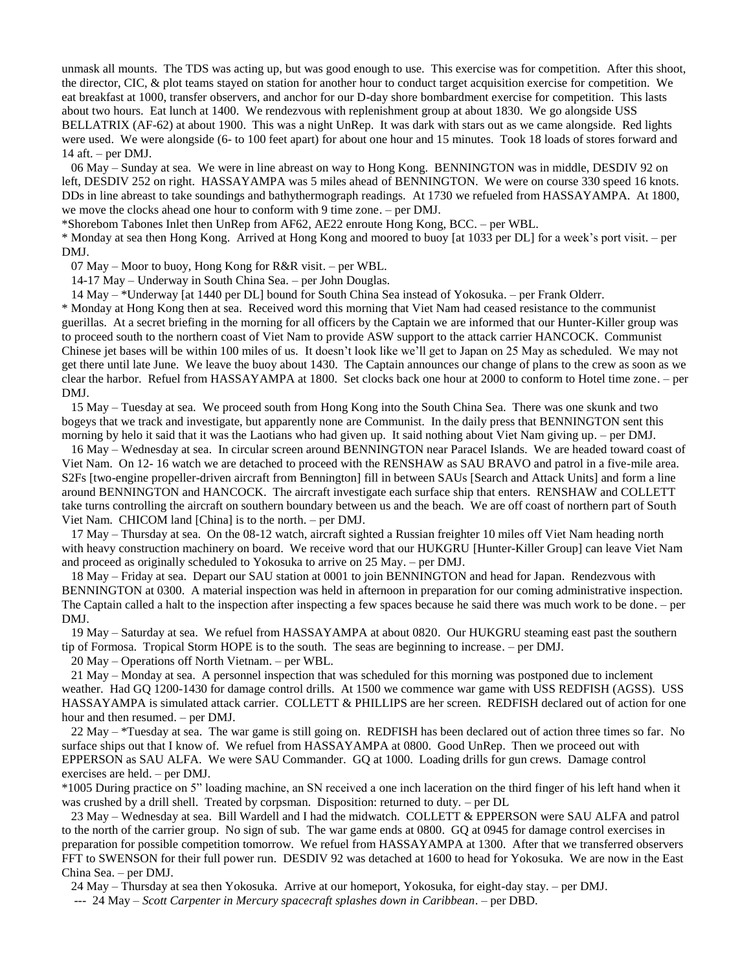unmask all mounts. The TDS was acting up, but was good enough to use. This exercise was for competition. After this shoot, the director, CIC, & plot teams stayed on station for another hour to conduct target acquisition exercise for competition. We eat breakfast at 1000, transfer observers, and anchor for our D-day shore bombardment exercise for competition. This lasts about two hours. Eat lunch at 1400. We rendezvous with replenishment group at about 1830. We go alongside USS BELLATRIX (AF-62) at about 1900. This was a night UnRep. It was dark with stars out as we came alongside. Red lights were used. We were alongside (6- to 100 feet apart) for about one hour and 15 minutes. Took 18 loads of stores forward and 14 aft. – per DMJ.

 06 May – Sunday at sea. We were in line abreast on way to Hong Kong. BENNINGTON was in middle, DESDIV 92 on left, DESDIV 252 on right. HASSAYAMPA was 5 miles ahead of BENNINGTON. We were on course 330 speed 16 knots. DDs in line abreast to take soundings and bathythermograph readings. At 1730 we refueled from HASSAYAMPA. At 1800, we move the clocks ahead one hour to conform with 9 time zone. – per DMJ.

\*Shorebom Tabones Inlet then UnRep from AF62, AE22 enroute Hong Kong, BCC. – per WBL.

\* Monday at sea then Hong Kong. Arrived at Hong Kong and moored to buoy [at 1033 per DL] for a week's port visit. – per DMJ.

07 May – Moor to buoy, Hong Kong for R&R visit. – per WBL.

14-17 May – Underway in South China Sea. – per John Douglas.

14 May – \*Underway [at 1440 per DL] bound for South China Sea instead of Yokosuka. – per Frank Olderr.

\* Monday at Hong Kong then at sea. Received word this morning that Viet Nam had ceased resistance to the communist guerillas. At a secret briefing in the morning for all officers by the Captain we are informed that our Hunter-Killer group was to proceed south to the northern coast of Viet Nam to provide ASW support to the attack carrier HANCOCK. Communist Chinese jet bases will be within 100 miles of us. It doesn't look like we'll get to Japan on 25 May as scheduled. We may not get there until late June. We leave the buoy about 1430. The Captain announces our change of plans to the crew as soon as we clear the harbor. Refuel from HASSAYAMPA at 1800. Set clocks back one hour at 2000 to conform to Hotel time zone. – per DMJ.

 15 May – Tuesday at sea. We proceed south from Hong Kong into the South China Sea. There was one skunk and two bogeys that we track and investigate, but apparently none are Communist. In the daily press that BENNINGTON sent this morning by helo it said that it was the Laotians who had given up. It said nothing about Viet Nam giving up. – per DMJ.

 16 May – Wednesday at sea. In circular screen around BENNINGTON near Paracel Islands. We are headed toward coast of Viet Nam. On 12- 16 watch we are detached to proceed with the RENSHAW as SAU BRAVO and patrol in a five-mile area. S2Fs [two-engine propeller-driven aircraft from Bennington] fill in between SAUs [Search and Attack Units] and form a line around BENNINGTON and HANCOCK. The aircraft investigate each surface ship that enters. RENSHAW and COLLETT take turns controlling the aircraft on southern boundary between us and the beach. We are off coast of northern part of South Viet Nam. CHICOM land [China] is to the north. – per DMJ.

 17 May – Thursday at sea. On the 08-12 watch, aircraft sighted a Russian freighter 10 miles off Viet Nam heading north with heavy construction machinery on board. We receive word that our HUKGRU [Hunter-Killer Group] can leave Viet Nam and proceed as originally scheduled to Yokosuka to arrive on 25 May. – per DMJ.

 18 May – Friday at sea. Depart our SAU station at 0001 to join BENNINGTON and head for Japan. Rendezvous with BENNINGTON at 0300. A material inspection was held in afternoon in preparation for our coming administrative inspection. The Captain called a halt to the inspection after inspecting a few spaces because he said there was much work to be done. – per DMJ.

 19 May – Saturday at sea. We refuel from HASSAYAMPA at about 0820. Our HUKGRU steaming east past the southern tip of Formosa. Tropical Storm HOPE is to the south. The seas are beginning to increase. – per DMJ.

20 May – Operations off North Vietnam. – per WBL.

 21 May – Monday at sea. A personnel inspection that was scheduled for this morning was postponed due to inclement weather. Had GQ 1200-1430 for damage control drills. At 1500 we commence war game with USS REDFISH (AGSS). USS HASSAYAMPA is simulated attack carrier. COLLETT & PHILLIPS are her screen. REDFISH declared out of action for one hour and then resumed. – per DMJ.

 22 May – \*Tuesday at sea. The war game is still going on. REDFISH has been declared out of action three times so far. No surface ships out that I know of. We refuel from HASSAYAMPA at 0800. Good UnRep. Then we proceed out with EPPERSON as SAU ALFA. We were SAU Commander. GQ at 1000. Loading drills for gun crews. Damage control exercises are held. – per DMJ.

\*1005 During practice on 5" loading machine, an SN received a one inch laceration on the third finger of his left hand when it was crushed by a drill shell. Treated by corpsman. Disposition: returned to duty. – per DL

 23 May – Wednesday at sea. Bill Wardell and I had the midwatch. COLLETT & EPPERSON were SAU ALFA and patrol to the north of the carrier group. No sign of sub. The war game ends at 0800. GQ at 0945 for damage control exercises in preparation for possible competition tomorrow. We refuel from HASSAYAMPA at 1300. After that we transferred observers FFT to SWENSON for their full power run. DESDIV 92 was detached at 1600 to head for Yokosuka. We are now in the East China Sea. – per DMJ.

24 May – Thursday at sea then Yokosuka. Arrive at our homeport, Yokosuka, for eight-day stay. – per DMJ.

--- 24 May – *Scott Carpenter in Mercury spacecraft splashes down in Caribbean*. – per DBD.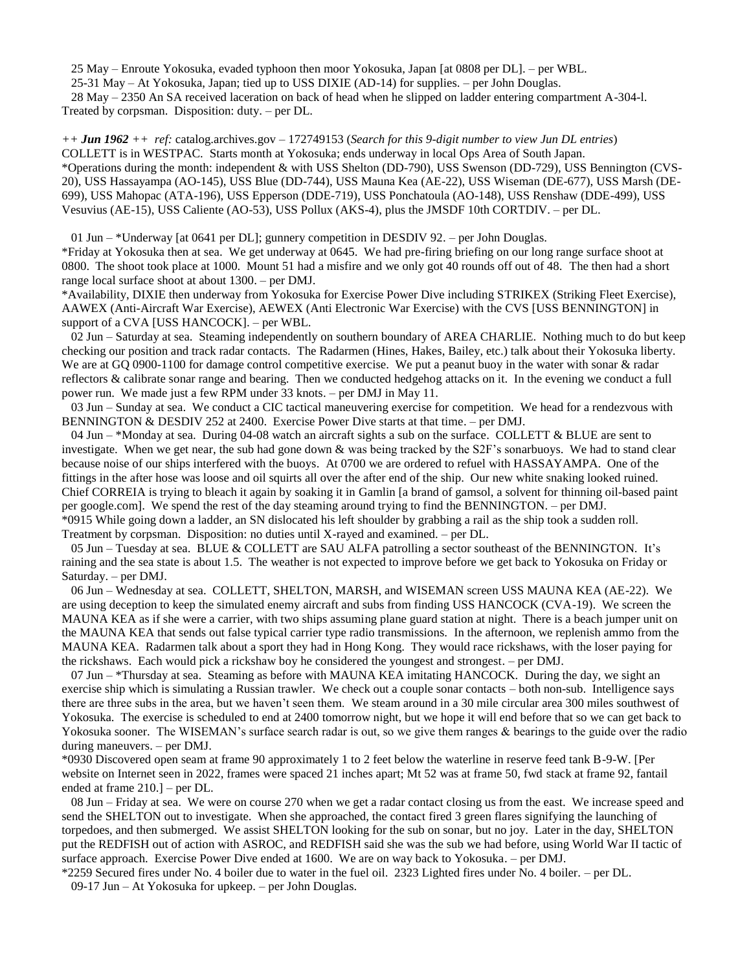25 May – Enroute Yokosuka, evaded typhoon then moor Yokosuka, Japan [at 0808 per DL]. – per WBL.

25-31 May – At Yokosuka, Japan; tied up to USS DIXIE (AD-14) for supplies. – per John Douglas.

 28 May – 2350 An SA received laceration on back of head when he slipped on ladder entering compartment A-304-l. Treated by corpsman. Disposition: duty. – per DL.

*++ Jun 1962 ++ ref:* catalog.archives.gov – 172749153 (*Search for this 9-digit number to view Jun DL entries*) COLLETT is in WESTPAC. Starts month at Yokosuka; ends underway in local Ops Area of South Japan. \*Operations during the month: independent & with USS Shelton (DD-790), USS Swenson (DD-729), USS Bennington (CVS-20), USS Hassayampa (AO-145), USS Blue (DD-744), USS Mauna Kea (AE-22), USS Wiseman (DE-677), USS Marsh (DE-699), USS Mahopac (ATA-196), USS Epperson (DDE-719), USS Ponchatoula (AO-148), USS Renshaw (DDE-499), USS Vesuvius (AE-15), USS Caliente (AO-53), USS Pollux (AKS-4), plus the JMSDF 10th CORTDIV. – per DL.

 01 Jun – \*Underway [at 0641 per DL]; gunnery competition in DESDIV 92. – per John Douglas. \*Friday at Yokosuka then at sea. We get underway at 0645. We had pre-firing briefing on our long range surface shoot at 0800. The shoot took place at 1000. Mount 51 had a misfire and we only got 40 rounds off out of 48. The then had a short range local surface shoot at about 1300. – per DMJ.

\*Availability, DIXIE then underway from Yokosuka for Exercise Power Dive including STRIKEX (Striking Fleet Exercise), AAWEX (Anti-Aircraft War Exercise), AEWEX (Anti Electronic War Exercise) with the CVS [USS BENNINGTON] in support of a CVA [USS HANCOCK]. – per WBL.

 02 Jun – Saturday at sea. Steaming independently on southern boundary of AREA CHARLIE. Nothing much to do but keep checking our position and track radar contacts. The Radarmen (Hines, Hakes, Bailey, etc.) talk about their Yokosuka liberty. We are at GQ 0900-1100 for damage control competitive exercise. We put a peanut buoy in the water with sonar & radar reflectors & calibrate sonar range and bearing. Then we conducted hedgehog attacks on it. In the evening we conduct a full power run. We made just a few RPM under 33 knots. – per DMJ in May 11.

 03 Jun – Sunday at sea. We conduct a CIC tactical maneuvering exercise for competition. We head for a rendezvous with BENNINGTON & DESDIV 252 at 2400. Exercise Power Dive starts at that time. – per DMJ.

 04 Jun – \*Monday at sea. During 04-08 watch an aircraft sights a sub on the surface. COLLETT & BLUE are sent to investigate. When we get near, the sub had gone down  $\&$  was being tracked by the S2F's sonarbuoys. We had to stand clear because noise of our ships interfered with the buoys. At 0700 we are ordered to refuel with HASSAYAMPA. One of the fittings in the after hose was loose and oil squirts all over the after end of the ship. Our new white snaking looked ruined. Chief CORREIA is trying to bleach it again by soaking it in Gamlin [a brand of gamsol, a solvent for thinning oil-based paint per google.com]. We spend the rest of the day steaming around trying to find the BENNINGTON. – per DMJ. \*0915 While going down a ladder, an SN dislocated his left shoulder by grabbing a rail as the ship took a sudden roll. Treatment by corpsman. Disposition: no duties until X-rayed and examined. – per DL.

 05 Jun – Tuesday at sea. BLUE & COLLETT are SAU ALFA patrolling a sector southeast of the BENNINGTON. It's raining and the sea state is about 1.5. The weather is not expected to improve before we get back to Yokosuka on Friday or Saturday. – per DMJ.

 06 Jun – Wednesday at sea. COLLETT, SHELTON, MARSH, and WISEMAN screen USS MAUNA KEA (AE-22). We are using deception to keep the simulated enemy aircraft and subs from finding USS HANCOCK (CVA-19). We screen the MAUNA KEA as if she were a carrier, with two ships assuming plane guard station at night. There is a beach jumper unit on the MAUNA KEA that sends out false typical carrier type radio transmissions. In the afternoon, we replenish ammo from the MAUNA KEA. Radarmen talk about a sport they had in Hong Kong. They would race rickshaws, with the loser paying for the rickshaws. Each would pick a rickshaw boy he considered the youngest and strongest. – per DMJ.

07 Jun – \*Thursday at sea. Steaming as before with MAUNA KEA imitating HANCOCK. During the day, we sight an exercise ship which is simulating a Russian trawler. We check out a couple sonar contacts – both non-sub. Intelligence says there are three subs in the area, but we haven't seen them. We steam around in a 30 mile circular area 300 miles southwest of Yokosuka. The exercise is scheduled to end at 2400 tomorrow night, but we hope it will end before that so we can get back to Yokosuka sooner. The WISEMAN's surface search radar is out, so we give them ranges & bearings to the guide over the radio during maneuvers. – per DMJ.

\*0930 Discovered open seam at frame 90 approximately 1 to 2 feet below the waterline in reserve feed tank B-9-W. [Per website on Internet seen in 2022, frames were spaced 21 inches apart; Mt 52 was at frame 50, fwd stack at frame 92, fantail ended at frame 210.] – per DL.

 08 Jun – Friday at sea. We were on course 270 when we get a radar contact closing us from the east. We increase speed and send the SHELTON out to investigate. When she approached, the contact fired 3 green flares signifying the launching of torpedoes, and then submerged. We assist SHELTON looking for the sub on sonar, but no joy. Later in the day, SHELTON put the REDFISH out of action with ASROC, and REDFISH said she was the sub we had before, using World War II tactic of surface approach. Exercise Power Dive ended at 1600. We are on way back to Yokosuka. – per DMJ.

\*2259 Secured fires under No. 4 boiler due to water in the fuel oil. 2323 Lighted fires under No. 4 boiler. – per DL. 09-17 Jun – At Yokosuka for upkeep. – per John Douglas.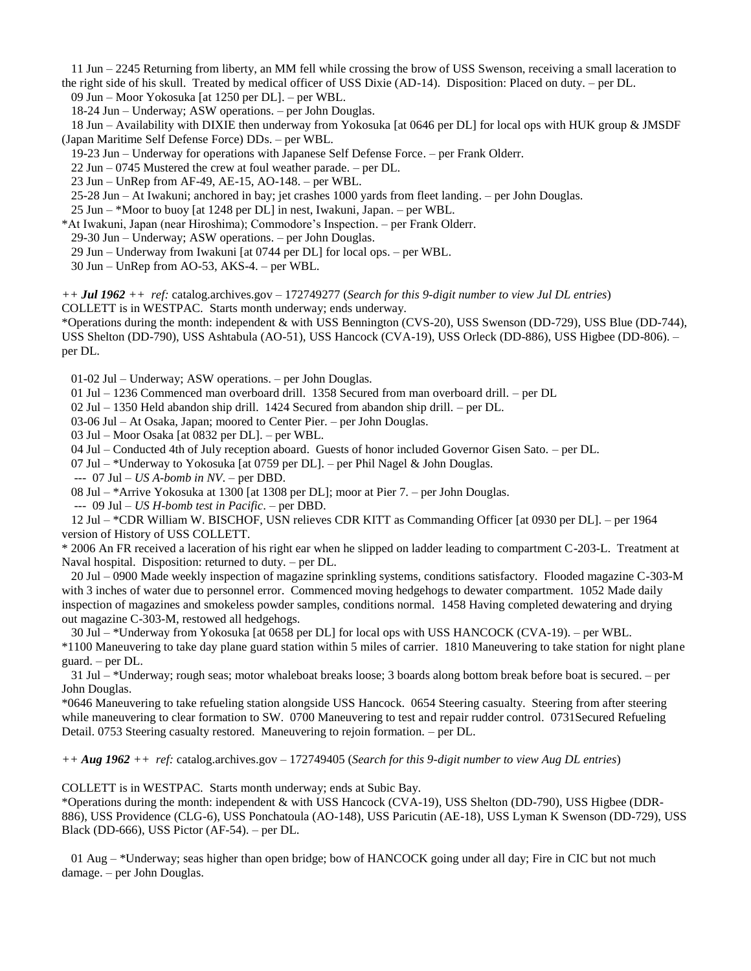11 Jun – 2245 Returning from liberty, an MM fell while crossing the brow of USS Swenson, receiving a small laceration to the right side of his skull. Treated by medical officer of USS Dixie (AD-14). Disposition: Placed on duty. – per DL.

09 Jun – Moor Yokosuka [at 1250 per DL]. – per WBL.

18-24 Jun – Underway; ASW operations. – per John Douglas.

 18 Jun – Availability with DIXIE then underway from Yokosuka [at 0646 per DL] for local ops with HUK group & JMSDF (Japan Maritime Self Defense Force) DDs. – per WBL.

19-23 Jun – Underway for operations with Japanese Self Defense Force. – per Frank Olderr.

22 Jun – 0745 Mustered the crew at foul weather parade. – per DL.

23 Jun – UnRep from AF-49, AE-15, AO-148. – per WBL.

25-28 Jun – At Iwakuni; anchored in bay; jet crashes 1000 yards from fleet landing. – per John Douglas.

25 Jun – \*Moor to buoy [at 1248 per DL] in nest, Iwakuni, Japan. – per WBL.

\*At Iwakuni, Japan (near Hiroshima); Commodore's Inspection. – per Frank Olderr.

29-30 Jun – Underway; ASW operations. – per John Douglas.

29 Jun – Underway from Iwakuni [at 0744 per DL] for local ops. – per WBL.

30 Jun – UnRep from AO-53, AKS-4. – per WBL.

*++ Jul 1962 ++ ref:* catalog.archives.gov – 172749277 (*Search for this 9-digit number to view Jul DL entries*) COLLETT is in WESTPAC. Starts month underway; ends underway.

\*Operations during the month: independent & with USS Bennington (CVS-20), USS Swenson (DD-729), USS Blue (DD-744), USS Shelton (DD-790), USS Ashtabula (AO-51), USS Hancock (CVA-19), USS Orleck (DD-886), USS Higbee (DD-806). – per DL.

01-02 Jul – Underway; ASW operations. – per John Douglas.

01 Jul – 1236 Commenced man overboard drill. 1358 Secured from man overboard drill. – per DL

02 Jul – 1350 Held abandon ship drill. 1424 Secured from abandon ship drill. – per DL.

03-06 Jul – At Osaka, Japan; moored to Center Pier. – per John Douglas.

03 Jul – Moor Osaka [at 0832 per DL]. – per WBL.

04 Jul – Conducted 4th of July reception aboard. Guests of honor included Governor Gisen Sato. – per DL.

07 Jul – \*Underway to Yokosuka [at 0759 per DL]. – per Phil Nagel & John Douglas.

--- 07 Jul – *US A-bomb in NV*. – per DBD.

08 Jul – \*Arrive Yokosuka at 1300 [at 1308 per DL]; moor at Pier 7. – per John Douglas.

--- 09 Jul – *US H-bomb test in Pacific*. – per DBD.

 12 Jul – \*CDR William W. BISCHOF, USN relieves CDR KITT as Commanding Officer [at 0930 per DL]. – per 1964 version of History of USS COLLETT.

\* 2006 An FR received a laceration of his right ear when he slipped on ladder leading to compartment C-203-L. Treatment at Naval hospital. Disposition: returned to duty. – per DL.

 20 Jul – 0900 Made weekly inspection of magazine sprinkling systems, conditions satisfactory. Flooded magazine C-303-M with 3 inches of water due to personnel error. Commenced moving hedgehogs to dewater compartment. 1052 Made daily inspection of magazines and smokeless powder samples, conditions normal. 1458 Having completed dewatering and drying out magazine C-303-M, restowed all hedgehogs.

 30 Jul – \*Underway from Yokosuka [at 0658 per DL] for local ops with USS HANCOCK (CVA-19). – per WBL. \*1100 Maneuvering to take day plane guard station within 5 miles of carrier. 1810 Maneuvering to take station for night plane guard. – per DL.

 31 Jul – \*Underway; rough seas; motor whaleboat breaks loose; 3 boards along bottom break before boat is secured. – per John Douglas.

\*0646 Maneuvering to take refueling station alongside USS Hancock. 0654 Steering casualty. Steering from after steering while maneuvering to clear formation to SW. 0700 Maneuvering to test and repair rudder control. 0731Secured Refueling Detail. 0753 Steering casualty restored. Maneuvering to rejoin formation. – per DL.

*++ Aug 1962 ++ ref:* catalog.archives.gov – 172749405 (*Search for this 9-digit number to view Aug DL entries*)

COLLETT is in WESTPAC. Starts month underway; ends at Subic Bay.

\*Operations during the month: independent & with USS Hancock (CVA-19), USS Shelton (DD-790), USS Higbee (DDR-886), USS Providence (CLG-6), USS Ponchatoula (AO-148), USS Paricutin (AE-18), USS Lyman K Swenson (DD-729), USS Black (DD-666), USS Pictor (AF-54). – per DL.

 01 Aug – \*Underway; seas higher than open bridge; bow of HANCOCK going under all day; Fire in CIC but not much damage. – per John Douglas.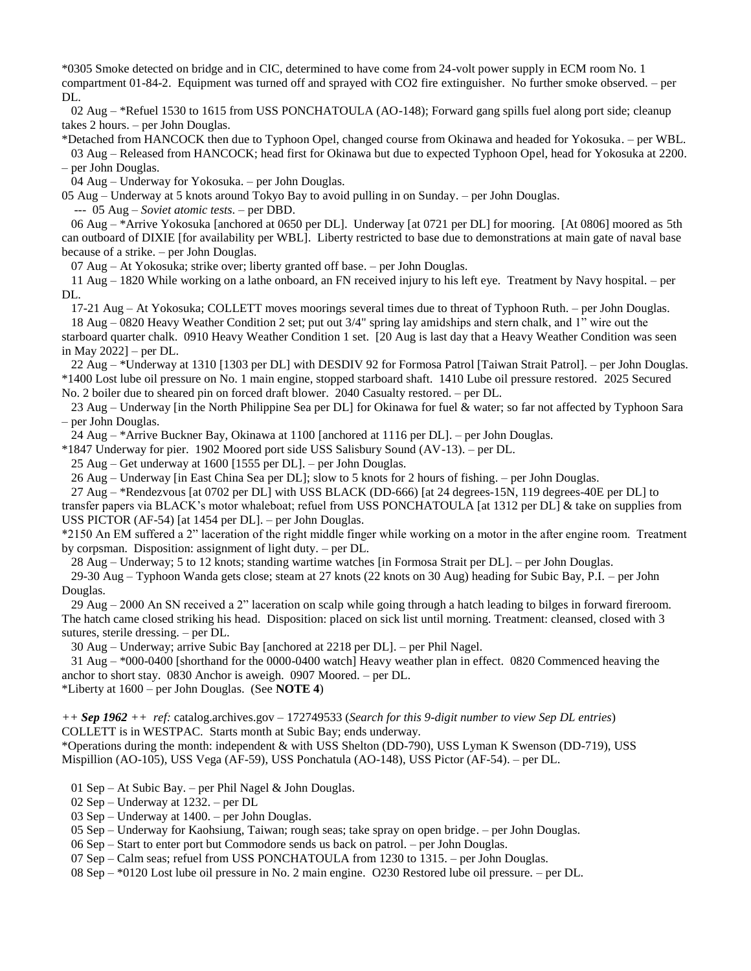\*0305 Smoke detected on bridge and in CIC, determined to have come from 24-volt power supply in ECM room No. 1 compartment 01-84-2. Equipment was turned off and sprayed with CO2 fire extinguisher. No further smoke observed. – per DL.

 02 Aug – \*Refuel 1530 to 1615 from USS PONCHATOULA (AO-148); Forward gang spills fuel along port side; cleanup takes 2 hours. – per John Douglas.

\*Detached from HANCOCK then due to Typhoon Opel, changed course from Okinawa and headed for Yokosuka. – per WBL. 03 Aug – Released from HANCOCK; head first for Okinawa but due to expected Typhoon Opel, head for Yokosuka at 2200. – per John Douglas.

04 Aug – Underway for Yokosuka. – per John Douglas.

05 Aug – Underway at 5 knots around Tokyo Bay to avoid pulling in on Sunday. – per John Douglas.

--- 05 Aug – *Soviet atomic tests*. – per DBD.

 06 Aug – \*Arrive Yokosuka [anchored at 0650 per DL]. Underway [at 0721 per DL] for mooring. [At 0806] moored as 5th can outboard of DIXIE [for availability per WBL]. Liberty restricted to base due to demonstrations at main gate of naval base because of a strike. – per John Douglas.

07 Aug – At Yokosuka; strike over; liberty granted off base. – per John Douglas.

 11 Aug – 1820 While working on a lathe onboard, an FN received injury to his left eye. Treatment by Navy hospital. – per DL.

17-21 Aug – At Yokosuka; COLLETT moves moorings several times due to threat of Typhoon Ruth. – per John Douglas.

 18 Aug – 0820 Heavy Weather Condition 2 set; put out 3/4" spring lay amidships and stern chalk, and 1" wire out the starboard quarter chalk. 0910 Heavy Weather Condition 1 set. [20 Aug is last day that a Heavy Weather Condition was seen in May 2022] – per DL.

 22 Aug – \*Underway at 1310 [1303 per DL] with DESDIV 92 for Formosa Patrol [Taiwan Strait Patrol]. – per John Douglas. \*1400 Lost lube oil pressure on No. 1 main engine, stopped starboard shaft. 1410 Lube oil pressure restored. 2025 Secured No. 2 boiler due to sheared pin on forced draft blower. 2040 Casualty restored. – per DL.

 23 Aug – Underway [in the North Philippine Sea per DL] for Okinawa for fuel & water; so far not affected by Typhoon Sara – per John Douglas.

24 Aug – \*Arrive Buckner Bay, Okinawa at 1100 [anchored at 1116 per DL]. – per John Douglas.

\*1847 Underway for pier. 1902 Moored port side USS Salisbury Sound (AV-13). – per DL.

25 Aug – Get underway at 1600 [1555 per DL]. – per John Douglas.

26 Aug – Underway [in East China Sea per DL]; slow to 5 knots for 2 hours of fishing. – per John Douglas.

 27 Aug – \*Rendezvous [at 0702 per DL] with USS BLACK (DD-666) [at 24 degrees-15N, 119 degrees-40E per DL] to transfer papers via BLACK's motor whaleboat; refuel from USS PONCHATOULA [at 1312 per DL] & take on supplies from USS PICTOR (AF-54) [at 1454 per DL]. – per John Douglas.

\*2150 An EM suffered a 2" laceration of the right middle finger while working on a motor in the after engine room. Treatment by corpsman. Disposition: assignment of light duty. – per DL.

28 Aug – Underway; 5 to 12 knots; standing wartime watches [in Formosa Strait per DL]. – per John Douglas.

 29-30 Aug – Typhoon Wanda gets close; steam at 27 knots (22 knots on 30 Aug) heading for Subic Bay, P.I. – per John Douglas.

 29 Aug – 2000 An SN received a 2" laceration on scalp while going through a hatch leading to bilges in forward fireroom. The hatch came closed striking his head. Disposition: placed on sick list until morning. Treatment: cleansed, closed with 3 sutures, sterile dressing. – per DL.

30 Aug – Underway; arrive Subic Bay [anchored at 2218 per DL]. – per Phil Nagel.

 31 Aug – \*000-0400 [shorthand for the 0000-0400 watch] Heavy weather plan in effect. 0820 Commenced heaving the anchor to short stay. 0830 Anchor is aweigh. 0907 Moored. – per DL.

\*Liberty at 1600 – per John Douglas. (See **NOTE 4**)

*++ Sep 1962 ++ ref:* catalog.archives.gov – 172749533 (*Search for this 9-digit number to view Sep DL entries*) COLLETT is in WESTPAC. Starts month at Subic Bay; ends underway.

\*Operations during the month: independent & with USS Shelton (DD-790), USS Lyman K Swenson (DD-719), USS Mispillion (AO-105), USS Vega (AF-59), USS Ponchatula (AO-148), USS Pictor (AF-54). – per DL.

01 Sep – At Subic Bay. – per Phil Nagel & John Douglas.

02 Sep – Underway at 1232. – per DL

03 Sep – Underway at 1400. – per John Douglas.

05 Sep – Underway for Kaohsiung, Taiwan; rough seas; take spray on open bridge. – per John Douglas.

06 Sep – Start to enter port but Commodore sends us back on patrol. – per John Douglas.

07 Sep – Calm seas; refuel from USS PONCHATOULA from 1230 to 1315. – per John Douglas.

08 Sep – \*0120 Lost lube oil pressure in No. 2 main engine. O230 Restored lube oil pressure. – per DL.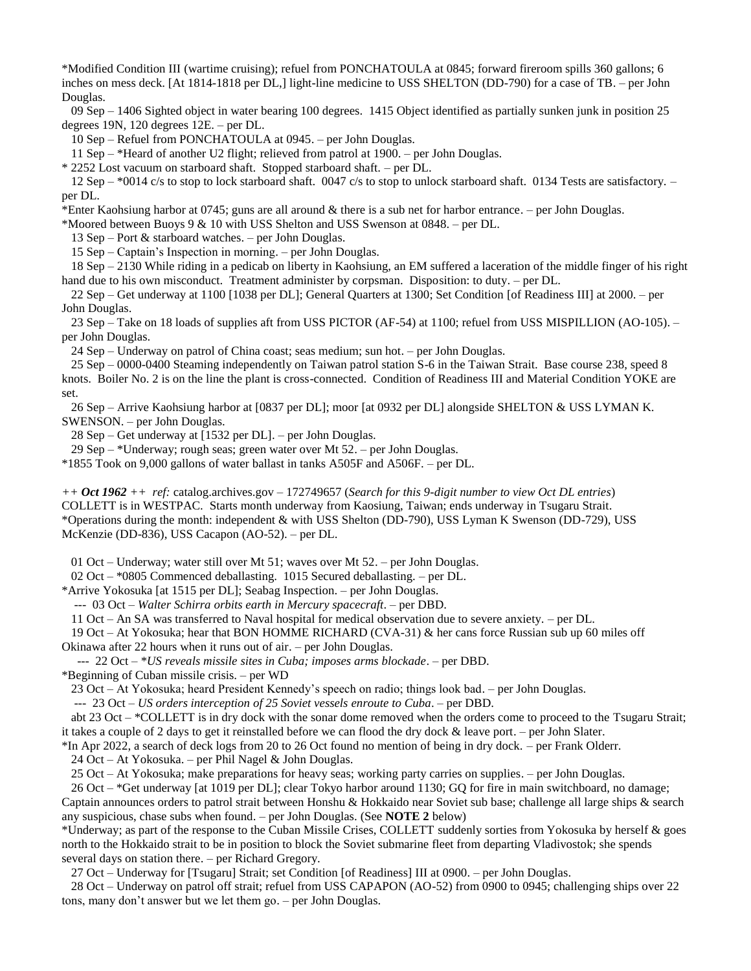\*Modified Condition III (wartime cruising); refuel from PONCHATOULA at 0845; forward fireroom spills 360 gallons; 6 inches on mess deck. [At 1814-1818 per DL,] light-line medicine to USS SHELTON (DD-790) for a case of TB. – per John Douglas.

 09 Sep – 1406 Sighted object in water bearing 100 degrees. 1415 Object identified as partially sunken junk in position 25 degrees 19N, 120 degrees 12E. – per DL.

10 Sep – Refuel from PONCHATOULA at 0945. – per John Douglas.

11 Sep – \*Heard of another U2 flight; relieved from patrol at 1900. – per John Douglas.

\* 2252 Lost vacuum on starboard shaft. Stopped starboard shaft. – per DL.

12 Sep  $-$  \*0014 c/s to stop to lock starboard shaft. 0047 c/s to stop to unlock starboard shaft. 0134 Tests are satisfactory.  $$ per DL.

\*Enter Kaohsiung harbor at 0745; guns are all around & there is a sub net for harbor entrance. – per John Douglas.

\*Moored between Buoys 9 & 10 with USS Shelton and USS Swenson at 0848. – per DL.

13 Sep – Port & starboard watches. – per John Douglas.

15 Sep – Captain's Inspection in morning. – per John Douglas.

 18 Sep – 2130 While riding in a pedicab on liberty in Kaohsiung, an EM suffered a laceration of the middle finger of his right hand due to his own misconduct. Treatment administer by corpsman. Disposition: to duty. – per DL.

 22 Sep – Get underway at 1100 [1038 per DL]; General Quarters at 1300; Set Condition [of Readiness III] at 2000. – per John Douglas.

 23 Sep – Take on 18 loads of supplies aft from USS PICTOR (AF-54) at 1100; refuel from USS MISPILLION (AO-105). – per John Douglas.

24 Sep – Underway on patrol of China coast; seas medium; sun hot. – per John Douglas.

 25 Sep – 0000-0400 Steaming independently on Taiwan patrol station S-6 in the Taiwan Strait. Base course 238, speed 8 knots. Boiler No. 2 is on the line the plant is cross-connected. Condition of Readiness III and Material Condition YOKE are set.

 26 Sep – Arrive Kaohsiung harbor at [0837 per DL]; moor [at 0932 per DL] alongside SHELTON & USS LYMAN K. SWENSON. – per John Douglas.

28 Sep – Get underway at [1532 per DL]. – per John Douglas.

29 Sep – \*Underway; rough seas; green water over Mt 52. – per John Douglas.

\*1855 Took on 9,000 gallons of water ballast in tanks A505F and A506F. – per DL.

*++ Oct 1962 ++ ref:* catalog.archives.gov – 172749657 (*Search for this 9-digit number to view Oct DL entries*) COLLETT is in WESTPAC. Starts month underway from Kaosiung, Taiwan; ends underway in Tsugaru Strait. \*Operations during the month: independent & with USS Shelton (DD-790), USS Lyman K Swenson (DD-729), USS McKenzie (DD-836), USS Cacapon (AO-52). – per DL.

01 Oct – Underway; water still over Mt 51; waves over Mt 52. – per John Douglas.

02 Oct – \*0805 Commenced deballasting. 1015 Secured deballasting. – per DL.

\*Arrive Yokosuka [at 1515 per DL]; Seabag Inspection. – per John Douglas.

--- 03 Oct – *Walter Schirra orbits earth in Mercury spacecraft*. – per DBD.

11 Oct – An SA was transferred to Naval hospital for medical observation due to severe anxiety. – per DL.

19 Oct – At Yokosuka; hear that BON HOMME RICHARD (CVA-31) & her cans force Russian sub up 60 miles off

Okinawa after 22 hours when it runs out of air. – per John Douglas.

--- 22 Oct – \**US reveals missile sites in Cuba; imposes arms blockade*. – per DBD.

\*Beginning of Cuban missile crisis. – per WD

23 Oct – At Yokosuka; heard President Kennedy's speech on radio; things look bad. – per John Douglas.

--- 23 Oct – *US orders interception of 25 Soviet vessels enroute to Cuba*. – per DBD.

 abt 23 Oct – \*COLLETT is in dry dock with the sonar dome removed when the orders come to proceed to the Tsugaru Strait; it takes a couple of 2 days to get it reinstalled before we can flood the dry dock & leave port. – per John Slater.

\*In Apr 2022, a search of deck logs from 20 to 26 Oct found no mention of being in dry dock. – per Frank Olderr.

24 Oct – At Yokosuka. – per Phil Nagel & John Douglas.

25 Oct – At Yokosuka; make preparations for heavy seas; working party carries on supplies. – per John Douglas.

26 Oct – \*Get underway [at 1019 per DL]; clear Tokyo harbor around 1130; GQ for fire in main switchboard, no damage;

Captain announces orders to patrol strait between Honshu & Hokkaido near Soviet sub base; challenge all large ships & search any suspicious, chase subs when found. – per John Douglas. (See **NOTE 2** below)

\*Underway; as part of the response to the Cuban Missile Crises, COLLETT suddenly sorties from Yokosuka by herself & goes north to the Hokkaido strait to be in position to block the Soviet submarine fleet from departing Vladivostok; she spends several days on station there. – per Richard Gregory.

27 Oct – Underway for [Tsugaru] Strait; set Condition [of Readiness] III at 0900. – per John Douglas.

 28 Oct – Underway on patrol off strait; refuel from USS CAPAPON (AO-52) from 0900 to 0945; challenging ships over 22 tons, many don't answer but we let them go. – per John Douglas.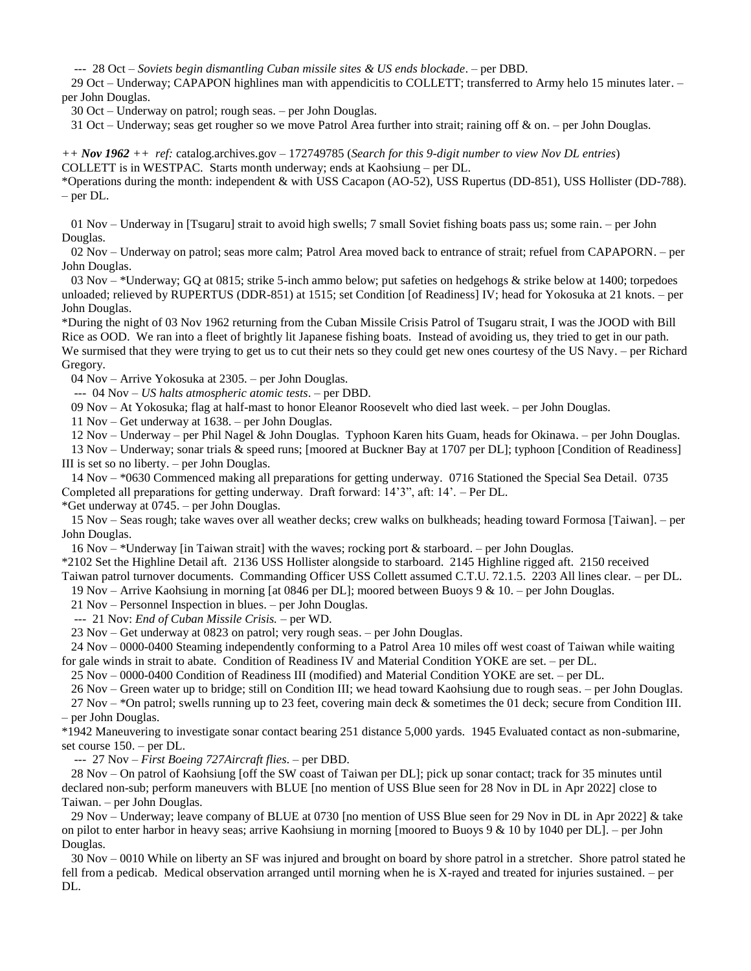--- 28 Oct – *Soviets begin dismantling Cuban missile sites & US ends blockade*. – per DBD.

 29 Oct – Underway; CAPAPON highlines man with appendicitis to COLLETT; transferred to Army helo 15 minutes later. – per John Douglas.

30 Oct – Underway on patrol; rough seas. – per John Douglas.

31 Oct – Underway; seas get rougher so we move Patrol Area further into strait; raining off  $\&$  on. – per John Douglas.

*++ Nov 1962 ++ ref:* catalog.archives.gov – 172749785 (*Search for this 9-digit number to view Nov DL entries*) COLLETT is in WESTPAC. Starts month underway; ends at Kaohsiung – per DL.

\*Operations during the month: independent & with USS Cacapon (AO-52), USS Rupertus (DD-851), USS Hollister (DD-788). – per DL.

 01 Nov – Underway in [Tsugaru] strait to avoid high swells; 7 small Soviet fishing boats pass us; some rain. – per John Douglas.

 02 Nov – Underway on patrol; seas more calm; Patrol Area moved back to entrance of strait; refuel from CAPAPORN. – per John Douglas.

 03 Nov – \*Underway; GQ at 0815; strike 5-inch ammo below; put safeties on hedgehogs & strike below at 1400; torpedoes unloaded; relieved by RUPERTUS (DDR-851) at 1515; set Condition [of Readiness] IV; head for Yokosuka at 21 knots. – per John Douglas.

\*During the night of 03 Nov 1962 returning from the Cuban Missile Crisis Patrol of Tsugaru strait, I was the JOOD with Bill Rice as OOD. We ran into a fleet of brightly lit Japanese fishing boats. Instead of avoiding us, they tried to get in our path. We surmised that they were trying to get us to cut their nets so they could get new ones courtesy of the US Navy. – per Richard Gregory.

04 Nov – Arrive Yokosuka at 2305. – per John Douglas.

--- 04 Nov – *US halts atmospheric atomic tests*. – per DBD.

09 Nov – At Yokosuka; flag at half-mast to honor Eleanor Roosevelt who died last week. – per John Douglas.

11 Nov – Get underway at 1638. – per John Douglas.

12 Nov – Underway – per Phil Nagel & John Douglas. Typhoon Karen hits Guam, heads for Okinawa. – per John Douglas.

 13 Nov – Underway; sonar trials & speed runs; [moored at Buckner Bay at 1707 per DL]; typhoon [Condition of Readiness] III is set so no liberty. – per John Douglas.

 14 Nov – \*0630 Commenced making all preparations for getting underway. 0716 Stationed the Special Sea Detail. 0735 Completed all preparations for getting underway. Draft forward: 14'3", aft: 14'. – Per DL.

\*Get underway at 0745. – per John Douglas.

 15 Nov – Seas rough; take waves over all weather decks; crew walks on bulkheads; heading toward Formosa [Taiwan]. – per John Douglas.

16 Nov – \*Underway [in Taiwan strait] with the waves; rocking port & starboard. – per John Douglas.

\*2102 Set the Highline Detail aft. 2136 USS Hollister alongside to starboard. 2145 Highline rigged aft. 2150 received Taiwan patrol turnover documents. Commanding Officer USS Collett assumed C.T.U. 72.1.5. 2203 All lines clear. – per DL.

19 Nov – Arrive Kaohsiung in morning [at 0846 per DL]; moored between Buoys 9 & 10. – per John Douglas.

21 Nov – Personnel Inspection in blues. – per John Douglas.

--- 21 Nov: *End of Cuban Missile Crisis.* – per WD.

23 Nov – Get underway at 0823 on patrol; very rough seas. – per John Douglas.

 24 Nov – 0000-0400 Steaming independently conforming to a Patrol Area 10 miles off west coast of Taiwan while waiting for gale winds in strait to abate. Condition of Readiness IV and Material Condition YOKE are set. – per DL.

25 Nov – 0000-0400 Condition of Readiness III (modified) and Material Condition YOKE are set. – per DL.

26 Nov – Green water up to bridge; still on Condition III; we head toward Kaohsiung due to rough seas. – per John Douglas.

 27 Nov – \*On patrol; swells running up to 23 feet, covering main deck & sometimes the 01 deck; secure from Condition III. – per John Douglas.

\*1942 Maneuvering to investigate sonar contact bearing 251 distance 5,000 yards. 1945 Evaluated contact as non-submarine, set course 150. – per DL.

--- 27 Nov – *First Boeing 727Aircraft flies*. – per DBD.

 28 Nov – On patrol of Kaohsiung [off the SW coast of Taiwan per DL]; pick up sonar contact; track for 35 minutes until declared non-sub; perform maneuvers with BLUE [no mention of USS Blue seen for 28 Nov in DL in Apr 2022] close to Taiwan. – per John Douglas.

 29 Nov – Underway; leave company of BLUE at 0730 [no mention of USS Blue seen for 29 Nov in DL in Apr 2022] & take on pilot to enter harbor in heavy seas; arrive Kaohsiung in morning [moored to Buoys 9 & 10 by 1040 per DL]. – per John Douglas.

 30 Nov – 0010 While on liberty an SF was injured and brought on board by shore patrol in a stretcher. Shore patrol stated he fell from a pedicab. Medical observation arranged until morning when he is X-rayed and treated for injuries sustained. – per DL.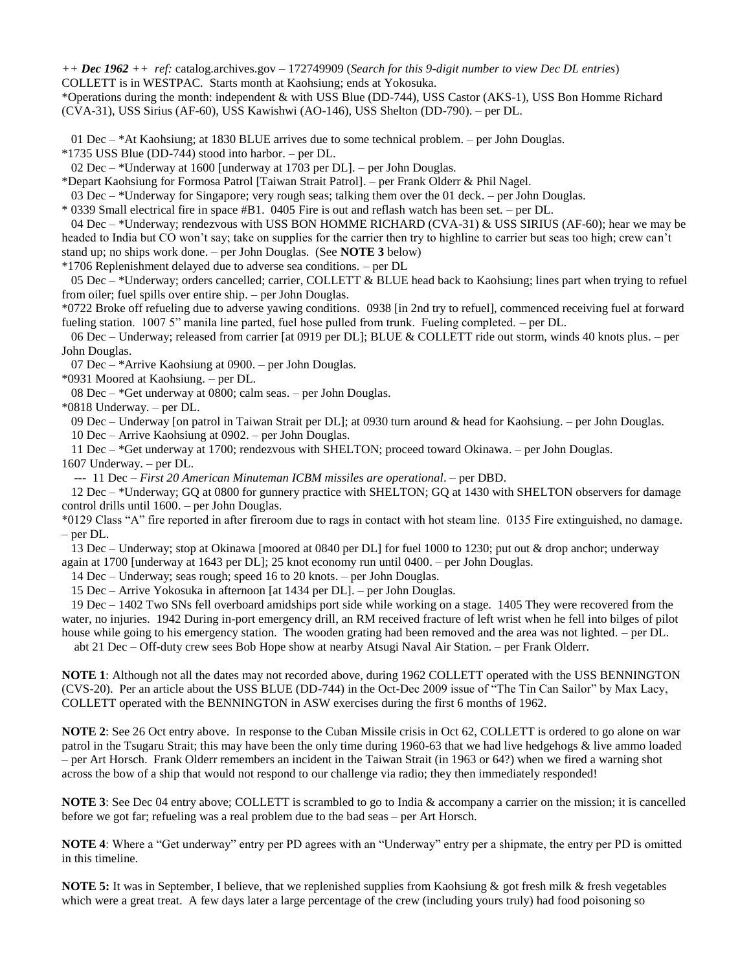*++ Dec 1962 ++ ref:* catalog.archives.gov – 172749909 (*Search for this 9-digit number to view Dec DL entries*)

COLLETT is in WESTPAC. Starts month at Kaohsiung; ends at Yokosuka.

\*Operations during the month: independent & with USS Blue (DD-744), USS Castor (AKS-1), USS Bon Homme Richard (CVA-31), USS Sirius (AF-60), USS Kawishwi (AO-146), USS Shelton (DD-790). – per DL.

01 Dec – \*At Kaohsiung; at 1830 BLUE arrives due to some technical problem. – per John Douglas.

\*1735 USS Blue (DD-744) stood into harbor. – per DL.

02 Dec – \*Underway at 1600 [underway at 1703 per DL]. – per John Douglas.

\*Depart Kaohsiung for Formosa Patrol [Taiwan Strait Patrol]. – per Frank Olderr & Phil Nagel.

03 Dec – \*Underway for Singapore; very rough seas; talking them over the 01 deck. – per John Douglas.

\* 0339 Small electrical fire in space #B1. 0405 Fire is out and reflash watch has been set. – per DL.

 04 Dec – \*Underway; rendezvous with USS BON HOMME RICHARD (CVA-31) & USS SIRIUS (AF-60); hear we may be headed to India but CO won't say; take on supplies for the carrier then try to highline to carrier but seas too high; crew can't stand up; no ships work done. – per John Douglas. (See **NOTE 3** below)

\*1706 Replenishment delayed due to adverse sea conditions. – per DL

 05 Dec – \*Underway; orders cancelled; carrier, COLLETT & BLUE head back to Kaohsiung; lines part when trying to refuel from oiler; fuel spills over entire ship. – per John Douglas.

\*0722 Broke off refueling due to adverse yawing conditions. 0938 [in 2nd try to refuel], commenced receiving fuel at forward fueling station. 1007 5" manila line parted, fuel hose pulled from trunk. Fueling completed. – per DL.

 06 Dec – Underway; released from carrier [at 0919 per DL]; BLUE & COLLETT ride out storm, winds 40 knots plus. – per John Douglas.

07 Dec – \*Arrive Kaohsiung at 0900. – per John Douglas.

\*0931 Moored at Kaohsiung. – per DL.

08 Dec – \*Get underway at 0800; calm seas. – per John Douglas.

\*0818 Underway. – per DL.

09 Dec – Underway [on patrol in Taiwan Strait per DL]; at 0930 turn around & head for Kaohsiung. – per John Douglas.

10 Dec – Arrive Kaohsiung at 0902. – per John Douglas.

11 Dec – \*Get underway at 1700; rendezvous with SHELTON; proceed toward Okinawa. – per John Douglas.

1607 Underway. – per DL.

--- 11 Dec – *First 20 American Minuteman ICBM missiles are operational*. – per DBD.

 12 Dec – \*Underway; GQ at 0800 for gunnery practice with SHELTON; GQ at 1430 with SHELTON observers for damage control drills until 1600. – per John Douglas.

\*0129 Class "A" fire reported in after fireroom due to rags in contact with hot steam line. 0135 Fire extinguished, no damage. – per DL.

 13 Dec – Underway; stop at Okinawa [moored at 0840 per DL] for fuel 1000 to 1230; put out & drop anchor; underway again at 1700 [underway at 1643 per DL]; 25 knot economy run until 0400. – per John Douglas.

14 Dec – Underway; seas rough; speed 16 to 20 knots. – per John Douglas.

15 Dec – Arrive Yokosuka in afternoon [at 1434 per DL]. – per John Douglas.

 19 Dec – 1402 Two SNs fell overboard amidships port side while working on a stage. 1405 They were recovered from the water, no injuries. 1942 During in-port emergency drill, an RM received fracture of left wrist when he fell into bilges of pilot house while going to his emergency station. The wooden grating had been removed and the area was not lighted. – per DL.

abt 21 Dec – Off-duty crew sees Bob Hope show at nearby Atsugi Naval Air Station. – per Frank Olderr.

**NOTE 1**: Although not all the dates may not recorded above, during 1962 COLLETT operated with the USS BENNINGTON (CVS-20). Per an article about the USS BLUE (DD-744) in the Oct-Dec 2009 issue of "The Tin Can Sailor" by Max Lacy, COLLETT operated with the BENNINGTON in ASW exercises during the first 6 months of 1962.

**NOTE 2**: See 26 Oct entry above. In response to the Cuban Missile crisis in Oct 62, COLLETT is ordered to go alone on war patrol in the Tsugaru Strait; this may have been the only time during 1960-63 that we had live hedgehogs & live ammo loaded – per Art Horsch. Frank Olderr remembers an incident in the Taiwan Strait (in 1963 or 64?) when we fired a warning shot across the bow of a ship that would not respond to our challenge via radio; they then immediately responded!

**NOTE 3**: See Dec 04 entry above; COLLETT is scrambled to go to India & accompany a carrier on the mission; it is cancelled before we got far; refueling was a real problem due to the bad seas – per Art Horsch.

**NOTE 4**: Where a "Get underway" entry per PD agrees with an "Underway" entry per a shipmate, the entry per PD is omitted in this timeline.

**NOTE 5:** It was in September, I believe, that we replenished supplies from Kaohsiung & got fresh milk & fresh vegetables which were a great treat. A few days later a large percentage of the crew (including yours truly) had food poisoning so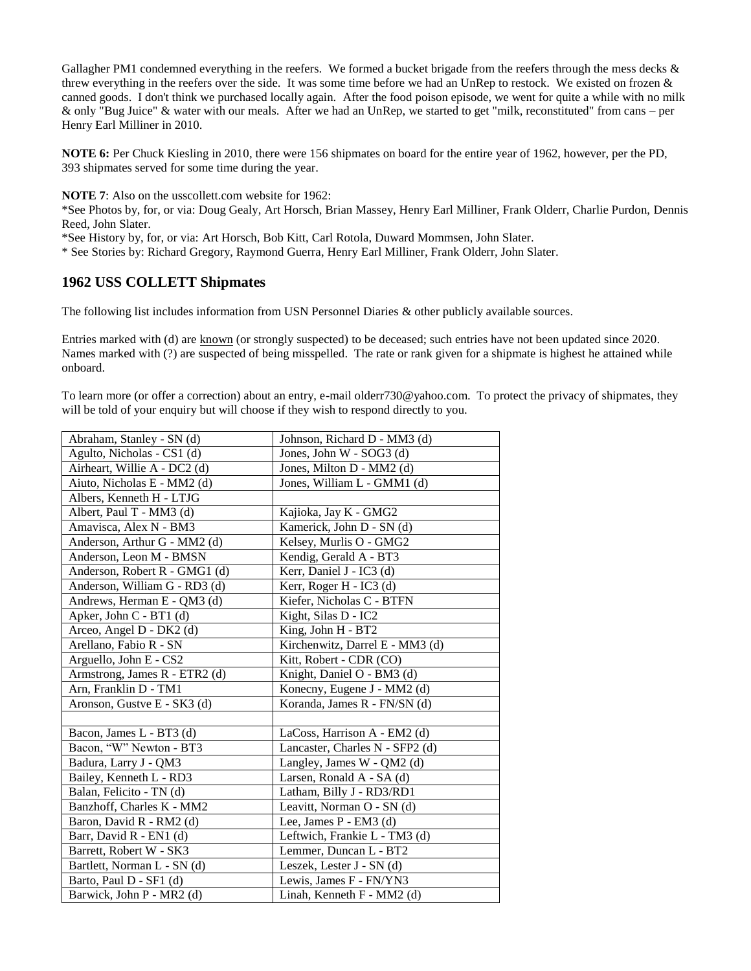Gallagher PM1 condemned everything in the reefers. We formed a bucket brigade from the reefers through the mess decks & threw everything in the reefers over the side. It was some time before we had an UnRep to restock. We existed on frozen & canned goods. I don't think we purchased locally again. After the food poison episode, we went for quite a while with no milk & only "Bug Juice" & water with our meals. After we had an UnRep, we started to get "milk, reconstituted" from cans – per Henry Earl Milliner in 2010.

**NOTE 6:** Per Chuck Kiesling in 2010, there were 156 shipmates on board for the entire year of 1962, however, per the PD, 393 shipmates served for some time during the year.

**NOTE 7**: Also on the usscollett.com website for 1962:

\*See Photos by, for, or via: Doug Gealy, Art Horsch, Brian Massey, Henry Earl Milliner, Frank Olderr, Charlie Purdon, Dennis Reed, John Slater.

\*See History by, for, or via: Art Horsch, Bob Kitt, Carl Rotola, Duward Mommsen, John Slater.

\* See Stories by: Richard Gregory, Raymond Guerra, Henry Earl Milliner, Frank Olderr, John Slater.

## **1962 USS COLLETT Shipmates**

The following list includes information from USN Personnel Diaries & other publicly available sources.

Entries marked with (d) are known (or strongly suspected) to be deceased; such entries have not been updated since 2020. Names marked with (?) are suspected of being misspelled. The rate or rank given for a shipmate is highest he attained while onboard.

To learn more (or offer a correction) about an entry, e-mail olderr730@yahoo.com. To protect the privacy of shipmates, they will be told of your enquiry but will choose if they wish to respond directly to you.

| Abraham, Stanley - SN (d)     | Johnson, Richard D - MM3 (d)    |
|-------------------------------|---------------------------------|
| Agulto, Nicholas - CS1 (d)    | Jones, John W - SOG3 (d)        |
| Airheart, Willie A - DC2 (d)  | Jones, Milton D - MM2 (d)       |
| Aiuto, Nicholas E - MM2 (d)   | Jones, William L - GMM1 (d)     |
| Albers, Kenneth H - LTJG      |                                 |
| Albert, Paul T - MM3 (d)      | Kajioka, Jay K - GMG2           |
| Amavisca, Alex N - BM3        | Kamerick, John D - SN (d)       |
| Anderson, Arthur G - MM2 (d)  | Kelsey, Murlis O - GMG2         |
| Anderson, Leon M - BMSN       | Kendig, Gerald A - BT3          |
| Anderson, Robert R - GMG1 (d) | Kerr, Daniel J - IC3 (d)        |
| Anderson, William G - RD3 (d) | Kerr, Roger H - IC3 (d)         |
| Andrews, Herman E - QM3 (d)   | Kiefer, Nicholas C - BTFN       |
| Apker, John C - BT1 (d)       | Kight, Silas D - IC2            |
| Arceo, Angel D - DK2 (d)      | King, John H - BT2              |
| Arellano, Fabio R - SN        | Kirchenwitz, Darrel E - MM3 (d) |
| Arguello, John E - CS2        | Kitt, Robert - CDR (CO)         |
| Armstrong, James R - ETR2 (d) | Knight, Daniel O - BM3 (d)      |
| Arn, Franklin D - TM1         | Konecny, Eugene J - MM2 (d)     |
| Aronson, Gustve E - SK3 (d)   | Koranda, James R - FN/SN (d)    |
|                               |                                 |
| Bacon, James L - BT3 (d)      | LaCoss, Harrison A - EM2 (d)    |
| Bacon, "W" Newton - BT3       | Lancaster, Charles N - SFP2 (d) |
| Badura, Larry J - QM3         | Langley, James W - QM2 (d)      |
| Bailey, Kenneth L - RD3       | Larsen, Ronald A - SA (d)       |
| Balan, Felicito - TN (d)      | Latham, Billy J - RD3/RD1       |
| Banzhoff, Charles K - MM2     | Leavitt, Norman O - SN (d)      |
| Baron, David R - RM2 (d)      | Lee, James P - EM3 (d)          |
| Barr, David R - EN1 (d)       | Leftwich, Frankie L - TM3 (d)   |
| Barrett, Robert W - SK3       | Lemmer, Duncan L - BT2          |
| Bartlett, Norman L - SN (d)   | Leszek, Lester J - SN (d)       |
| Barto, Paul D - SF1 (d)       | Lewis, James F - FN/YN3         |
| Barwick, John P - MR2 (d)     | Linah, Kenneth F - MM2 (d)      |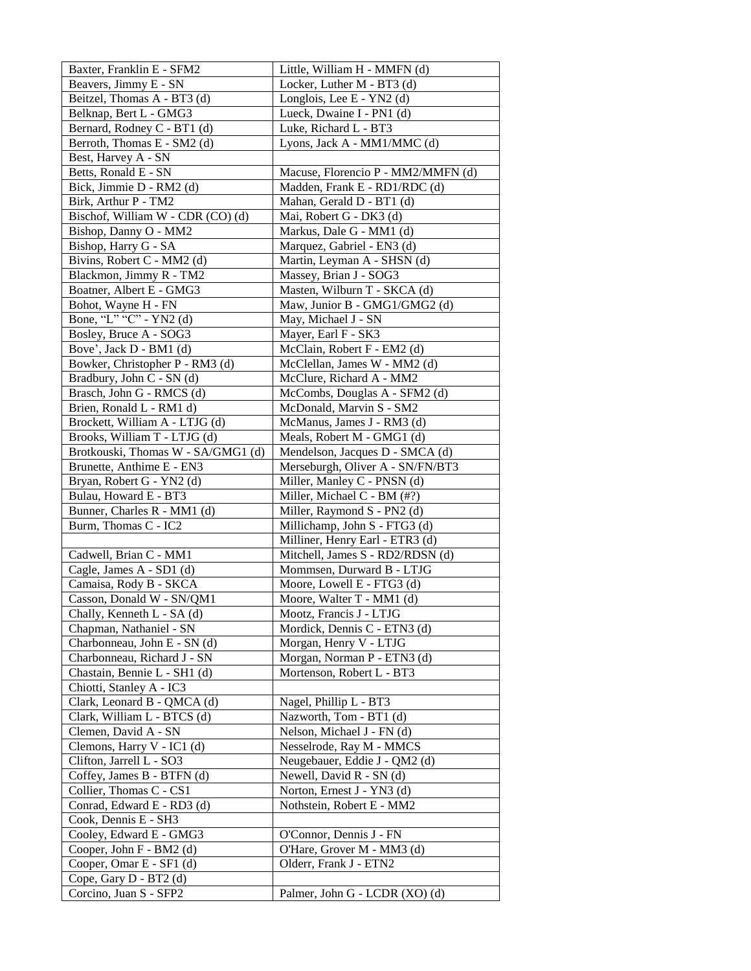| Baxter, Franklin E - SFM2                          | Little, William H - MMFN (d)                            |
|----------------------------------------------------|---------------------------------------------------------|
| Beavers, Jimmy E - SN                              | Locker, Luther M - BT3 (d)                              |
| Beitzel, Thomas A - BT3 (d)                        | Longlois, Lee E - YN2 (d)                               |
| Belknap, Bert L - GMG3                             | Lueck, Dwaine I - PN1 (d)                               |
| Bernard, Rodney C - BT1 (d)                        | Luke, Richard L - BT3                                   |
| Berroth, Thomas E - SM2 (d)                        | Lyons, Jack A - MM1/MMC (d)                             |
| Best, Harvey A - SN                                |                                                         |
| Betts, Ronald E - SN                               | Macuse, Florencio P - MM2/MMFN (d)                      |
| Bick, Jimmie D - RM2 (d)                           | Madden, Frank E - RD1/RDC (d)                           |
| Birk, Arthur P - TM2                               | Mahan, Gerald D - BT1 (d)                               |
| Bischof, William W - CDR (CO) (d)                  | Mai, Robert G - DK3 (d)                                 |
| Bishop, Danny O - MM2                              | Markus, Dale G - MM1 (d)                                |
| Bishop, Harry G - SA                               | Marquez, Gabriel - EN3 (d)                              |
| Bivins, Robert C - MM2 (d)                         | Martin, Leyman A - SHSN (d)                             |
| Blackmon, Jimmy R - TM2                            | Massey, Brian J - SOG3                                  |
| Boatner, Albert E - GMG3                           | Masten, Wilburn T - SKCA (d)                            |
| Bohot, Wayne H - FN                                | Maw, Junior B - GMG1/GMG2 (d)                           |
| Bone, "L" "C" - YN2 (d)                            | May, Michael J - SN                                     |
| Bosley, Bruce A - SOG3                             | Mayer, Earl F - SK3                                     |
| Bove', Jack D - BM1 (d)                            | McClain, Robert F - EM2 (d)                             |
| Bowker, Christopher P - RM3 (d)                    | McClellan, James W - MM2 (d)                            |
| Bradbury, John C - SN (d)                          | McClure, Richard A - MM2                                |
| Brasch, John G - RMCS (d)                          | McCombs, Douglas A - SFM2 (d)                           |
| Brien, Ronald L - RM1 d)                           | McDonald, Marvin S - SM2                                |
| Brockett, William A - LTJG (d)                     | McManus, James J - RM3 (d)                              |
| Brooks, William T - LTJG (d)                       | Meals, Robert M - GMG1 (d)                              |
| Brotkouski, Thomas W - SA/GMG1 (d)                 | Mendelson, Jacques D - SMCA (d)                         |
| Brunette, Anthime E - EN3                          | Merseburgh, Oliver A - SN/FN/BT3                        |
| Bryan, Robert G - YN2 (d)                          | Miller, Manley C - PNSN (d)                             |
| Bulau, Howard E - BT3                              | Miller, Michael C - BM (#?)                             |
| Bunner, Charles R - MM1 (d)                        | Miller, Raymond S - PN2 (d)                             |
| Burm, Thomas C - IC2                               | Millichamp, John S - FTG3 (d)                           |
|                                                    | Milliner, Henry Earl - ETR3 (d)                         |
| Cadwell, Brian C - MM1<br>Cagle, James A - SD1 (d) | Mitchell, James S - RD2/RDSN (d)                        |
| Camaisa, Rody B - SKCA                             | Mommsen, Durward B - LTJG<br>Moore, Lowell E - FTG3 (d) |
| Casson, Donald W - SN/QM1                          | Moore, Walter T - MM1 (d)                               |
| Chally, Kenneth L - SA (d)                         | Mootz, Francis J - LTJG                                 |
| Chapman, Nathaniel - SN                            | Mordick, Dennis C - ETN3 (d)                            |
| Charbonneau, John E - SN (d)                       | Morgan, Henry V - LTJG                                  |
| Charbonneau, Richard J - SN                        | Morgan, Norman P - ETN3 (d)                             |
| Chastain, Bennie L - SH1 (d)                       | Mortenson, Robert L - BT3                               |
| Chiotti, Stanley A - IC3                           |                                                         |
| Clark, Leonard B - QMCA (d)                        | Nagel, Phillip L - BT3                                  |
| Clark, William L - BTCS (d)                        | Nazworth, Tom - BT1 (d)                                 |
| Clemen, David A - SN                               | Nelson, Michael J - FN (d)                              |
| Clemons, Harry V - IC1 (d)                         | Nesselrode, Ray M - MMCS                                |
| Clifton, Jarrell L - SO3                           | Neugebauer, Eddie J - QM2 (d)                           |
| Coffey, James B - BTFN (d)                         | Newell, David R - SN (d)                                |
| Collier, Thomas C - CS1                            | Norton, Ernest J - YN3 (d)                              |
| Conrad, Edward E - RD3 (d)                         | Nothstein, Robert E - MM2                               |
| Cook, Dennis E - SH3                               |                                                         |
| Cooley, Edward E - GMG3                            | O'Connor, Dennis J - FN                                 |
| Cooper, John F - BM2 (d)                           | O'Hare, Grover M - MM3 (d)                              |
| Cooper, Omar E - SF1 (d)                           | Olderr, Frank J - ETN2                                  |
| Cope, Gary D - BT2 (d)                             |                                                         |
| Corcino, Juan S - SFP2                             | Palmer, John G - LCDR (XO) (d)                          |
|                                                    |                                                         |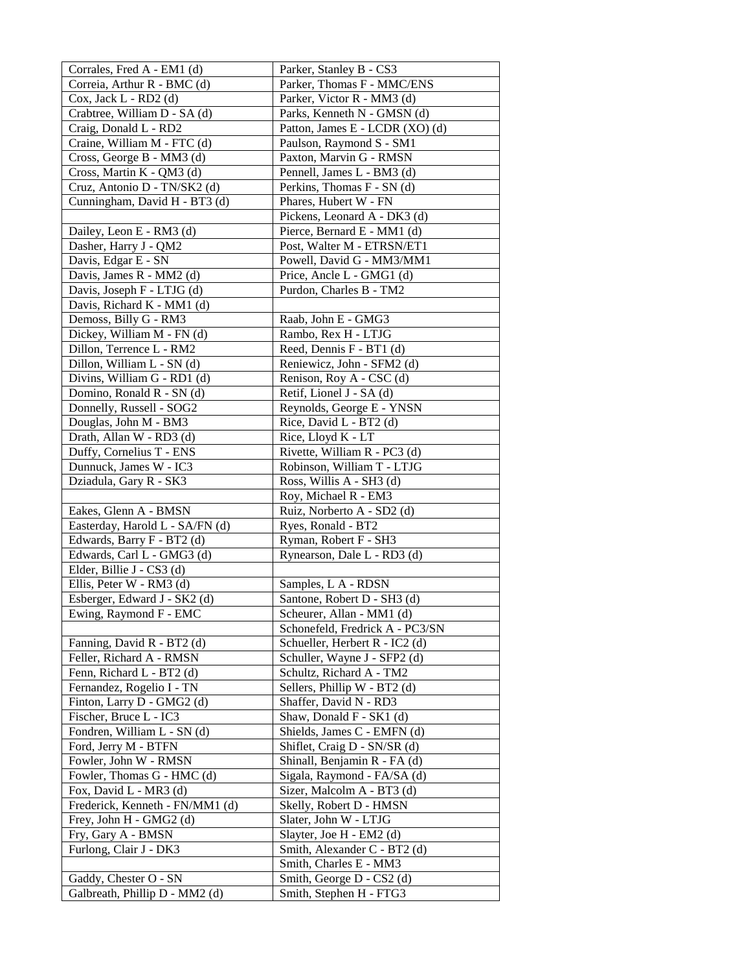| Corrales, Fred A - EM1 (d)                        | Parker, Stanley B - CS3                               |
|---------------------------------------------------|-------------------------------------------------------|
| Correia, Arthur R - BMC (d)                       | Parker, Thomas F - MMC/ENS                            |
| Cox, Jack L - RD2 (d)                             | Parker, Victor R - MM3 (d)                            |
| Crabtree, William D - SA (d)                      | Parks, Kenneth N - GMSN (d)                           |
| Craig, Donald L - RD2                             | Patton, James E - LCDR (XO) (d)                       |
| Craine, William M - FTC (d)                       | Paulson, Raymond S - SM1                              |
| Cross, George B - MM3 (d)                         | Paxton, Marvin G - RMSN                               |
| Cross, Martin K - QM3 (d)                         | Pennell, James L - BM3 (d)                            |
| Cruz, Antonio D - TN/SK2 (d)                      | Perkins, Thomas F - SN (d)                            |
| Cunningham, David H - BT3 (d)                     | Phares, Hubert W - FN                                 |
|                                                   | Pickens, Leonard A - DK3 (d)                          |
| Dailey, Leon E - RM3 (d)                          | Pierce, Bernard E - MM1 (d)                           |
| Dasher, Harry J - QM2                             | Post, Walter M - ETRSN/ET1                            |
| Davis, Edgar E - SN                               | Powell, David G - MM3/MM1                             |
| Davis, James R - MM2 (d)                          | Price, Ancle L - GMG1 (d)                             |
| Davis, Joseph F - LTJG (d)                        | Purdon, Charles B - TM2                               |
| Davis, Richard K - MM1 (d)                        |                                                       |
| Demoss, Billy G - RM3                             | Raab, John E - GMG3                                   |
| Dickey, William M - FN (d)                        | Rambo, Rex H - LTJG                                   |
| Dillon, Terrence L - RM2                          | Reed, Dennis F - BT1 (d)                              |
| Dillon, William L - SN (d)                        | Reniewicz, John - SFM2 (d)                            |
| Divins, William G - RD1 (d)                       | Renison, Roy A - CSC (d)                              |
| Domino, Ronald R - SN (d)                         | Retif, Lionel J - SA (d)<br>Reynolds, George E - YNSN |
| Donnelly, Russell - SOG2                          |                                                       |
| Douglas, John M - BM3<br>Drath, Allan W - RD3 (d) | Rice, David L - BT2 (d)<br>Rice, Lloyd K - LT         |
| Duffy, Cornelius T - ENS                          | Rivette, William R - PC3 (d)                          |
| Dunnuck, James W - IC3                            | Robinson, William T - LTJG                            |
| Dziadula, Gary R - SK3                            | Ross, Willis A - SH3 (d)                              |
|                                                   | Roy, Michael R - EM3                                  |
| Eakes, Glenn A - BMSN                             | Ruiz, Norberto A - SD2 (d)                            |
| Easterday, Harold L - SA/FN (d)                   | Ryes, Ronald - BT2                                    |
| Edwards, Barry F - BT2 (d)                        | Ryman, Robert F - SH3                                 |
| Edwards, Carl L - GMG3 (d)                        | Rynearson, Dale L - RD3 (d)                           |
| Elder, Billie J - CS3 (d)                         |                                                       |
| Ellis, Peter W - RM3 (d)                          | Samples, L A - RDSN                                   |
| Esberger, Edward J - SK2 (d)                      | Santone, Robert D - SH3 (d)                           |
| Ewing, Raymond F - EMC                            | Scheurer, Allan - MM1 (d)                             |
|                                                   | Schonefeld, Fredrick A - PC3/SN                       |
| Fanning, David R - BT2 (d)                        | Schueller, Herbert R - IC2 (d)                        |
| Feller, Richard A - RMSN                          | Schuller, Wayne J - SFP2 (d)                          |
| Fenn, Richard L - BT2 (d)                         | Schultz, Richard A - TM2                              |
| Fernandez, Rogelio I - TN                         | Sellers, Phillip W - BT2 (d)                          |
| Finton, Larry D - GMG2 (d)                        | Shaffer, David N - RD3                                |
| Fischer, Bruce L - IC3                            | Shaw, Donald F - SK1 (d)                              |
| Fondren, William L - SN (d)                       | Shields, James C - EMFN (d)                           |
| Ford, Jerry M - BTFN                              | Shiflet, Craig D - SN/SR (d)                          |
| Fowler, John W - RMSN                             | Shinall, Benjamin R - FA (d)                          |
| Fowler, Thomas G - HMC (d)                        | Sigala, Raymond - FA/SA (d)                           |
| Fox, David L - MR3 (d)                            | Sizer, Malcolm A - BT3 (d)                            |
| Frederick, Kenneth - FN/MM1 (d)                   | Skelly, Robert D - HMSN                               |
| Frey, John H - GMG2 (d)                           | Slater, John W - LTJG                                 |
| Fry, Gary A - BMSN                                | Slayter, Joe H - EM2 (d)                              |
| Furlong, Clair J - DK3                            | Smith, Alexander C - BT2 (d)                          |
|                                                   | Smith, Charles E - MM3                                |
| Gaddy, Chester O - SN                             | Smith, George D - CS2 (d)                             |
| Galbreath, Phillip D - MM2 (d)                    | Smith, Stephen H - FTG3                               |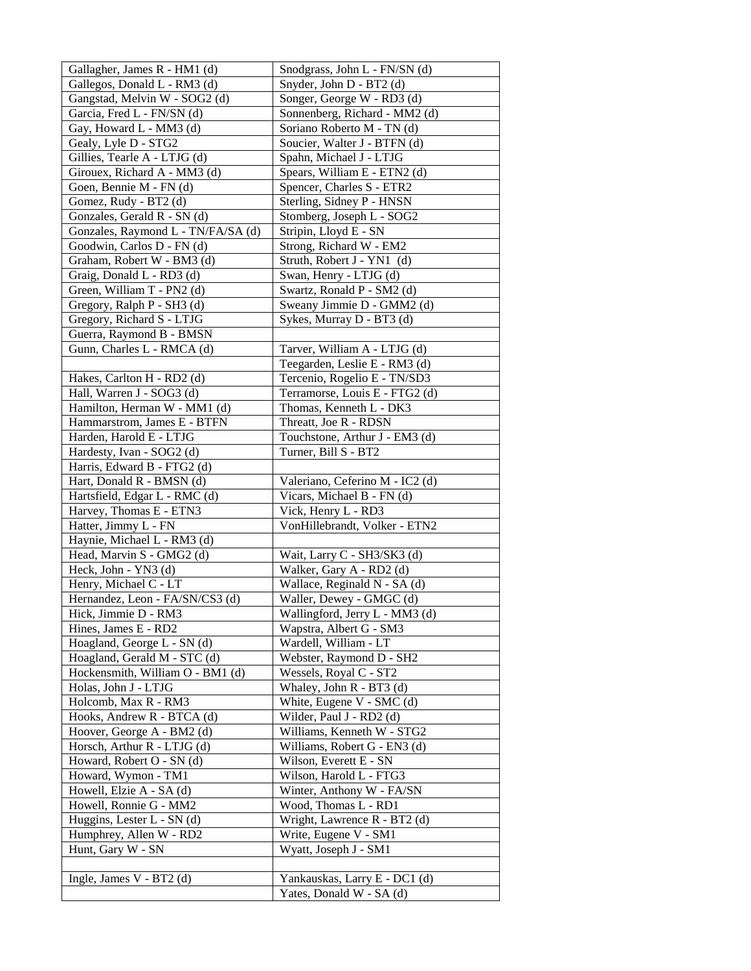| Gallagher, James R - HM1 (d)       | Snodgrass, John L - FN/SN (d)   |
|------------------------------------|---------------------------------|
| Gallegos, Donald L - RM3 (d)       | Snyder, John D - BT2 (d)        |
| Gangstad, Melvin W - SOG2 (d)      | Songer, George W - RD3 (d)      |
| Garcia, Fred L - FN/SN (d)         | Sonnenberg, Richard - MM2 (d)   |
| Gay, Howard L - MM3 (d)            | Soriano Roberto M - TN (d)      |
| Gealy, Lyle D - STG2               | Soucier, Walter J - BTFN (d)    |
| Gillies, Tearle A - LTJG (d)       | Spahn, Michael J - LTJG         |
| Girouex, Richard A - MM3 (d)       | Spears, William E - ETN2 (d)    |
| Goen, Bennie M - FN (d)            | Spencer, Charles S - ETR2       |
| Gomez, Rudy - BT2 (d)              | Sterling, Sidney P - HNSN       |
| Gonzales, Gerald R - SN (d)        | Stomberg, Joseph L - SOG2       |
| Gonzales, Raymond L - TN/FA/SA (d) | Stripin, Lloyd E - SN           |
| Goodwin, Carlos D - FN (d)         | Strong, Richard W - EM2         |
| Graham, Robert W - BM3 (d)         | Struth, Robert J - YN1 (d)      |
| Graig, Donald L - RD3 (d)          | Swan, Henry - LTJG (d)          |
| Green, William T - PN2 (d)         | Swartz, Ronald P - SM2 (d)      |
| Gregory, Ralph P - SH3 (d)         | Sweany Jimmie D - GMM2 (d)      |
| Gregory, Richard S - LTJG          | Sykes, Murray D - BT3 (d)       |
| Guerra, Raymond B - BMSN           |                                 |
| Gunn, Charles L - RMCA (d)         | Tarver, William A - LTJG (d)    |
|                                    | Teegarden, Leslie E - RM3 (d)   |
| Hakes, Carlton H - RD2 (d)         | Tercenio, Rogelio E - TN/SD3    |
| Hall, Warren J - SOG3 (d)          | Terramorse, Louis E - FTG2 (d)  |
| Hamilton, Herman W - MM1 (d)       | Thomas, Kenneth L - DK3         |
| Hammarstrom, James E - BTFN        | Threatt, Joe R - RDSN           |
| Harden, Harold E - LTJG            | Touchstone, Arthur J - EM3 (d)  |
| Hardesty, Ivan - SOG2 (d)          | Turner, Bill S - BT2            |
| Harris, Edward B - FTG2 (d)        |                                 |
| Hart, Donald R - BMSN (d)          | Valeriano, Ceferino M - IC2 (d) |
| Hartsfield, Edgar L - RMC (d)      | Vicars, Michael B - FN (d)      |
| Harvey, Thomas E - ETN3            | Vick, Henry L - RD3             |
| Hatter, Jimmy L - FN               | VonHillebrandt, Volker - ETN2   |
| Haynie, Michael L - RM3 (d)        |                                 |
| Head, Marvin S - GMG2 (d)          | Wait, Larry C - SH3/SK3 (d)     |
| Heck, John - YN3 (d)               | Walker, Gary A - RD2 (d)        |
| Henry, Michael C - LT              | Wallace, Reginald N - SA (d)    |
| Hernandez, Leon - FA/SN/CS3 (d)    | Waller, Dewey - GMGC (d)        |
| Hick, Jimmie D - RM3               | Wallingford, Jerry L - MM3 (d)  |
| Hines, James E - RD2               | Wapstra, Albert G - SM3         |
| Hoagland, George L - SN (d)        | Wardell, William - LT           |
| Hoagland, Gerald M - STC (d)       | Webster, Raymond D - SH2        |
| Hockensmith, William O - BM1 (d)   | Wessels, Royal C - ST2          |
| Holas, John J - LTJG               | Whaley, John R - BT3 (d)        |
| Holcomb, Max R - RM3               | White, Eugene V - SMC (d)       |
| Hooks, Andrew R - BTCA (d)         | Wilder, Paul J - RD2 (d)        |
| Hoover, George A - BM2 (d)         | Williams, Kenneth W - STG2      |
| Horsch, Arthur R - LTJG (d)        | Williams, Robert G - EN3 (d)    |
| Howard, Robert O - SN (d)          | Wilson, Everett E - SN          |
| Howard, Wymon - TM1                | Wilson, Harold L - FTG3         |
| Howell, Elzie A - SA (d)           | Winter, Anthony W - FA/SN       |
| Howell, Ronnie G - MM2             | Wood, Thomas L - RD1            |
| Huggins, Lester L - SN (d)         | Wright, Lawrence R - BT2 (d)    |
| Humphrey, Allen W - RD2            | Write, Eugene V - SM1           |
| Hunt, Gary W - SN                  | Wyatt, Joseph J - SM1           |
|                                    |                                 |
| Ingle, James V - BT2 (d)           | Yankauskas, Larry E - DC1 (d)   |
|                                    | Yates, Donald W - SA (d)        |